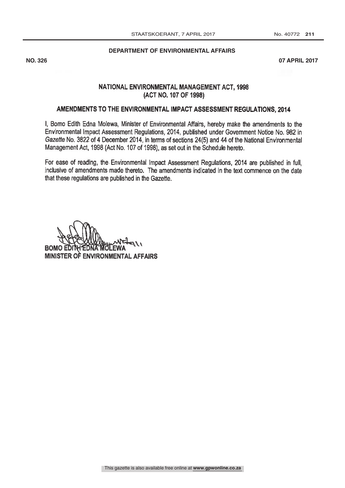#### **DEPARTMENT OF ENVIRONMENTAL AFFAIRS**

**NO. 326 07 APRIL 2017**

# NATIONAL ENVIRONMENTAL MANAGEMENT ACT, 1998 (ACT NO. 107 OF 1998)

# AMENDMENTS TO THE ENVIRONMENTAL IMPACT ASSESSMENT REGULATIONS, 2014

I, Bomo Edith Edna Molewa, Minister of Environmental Affairs, hereby make the amendments to the Environmental Impact Assessment Regulations, 2014, published under Government Notice No. 982 in Gazette No. 3822 of 4 December 2014, in terms of sections 24(5) and 44 of the National Environmental Management Act, 1998 (Act No. 107 of 1998), as set out in the Schedule hereto.

For ease of reading, the. Environmental Impact Assessment Regulations, 2014 are published in full, inclusive of amendments made thereto. The amendments indicated in the text commence on the date that these regulations are published in the Gazette.

BOMO E MINISTER O ENVIRONMENTAL AFFAIRS  $M$ <sup> $T$  $\leftarrow$  $(1)$ </sup>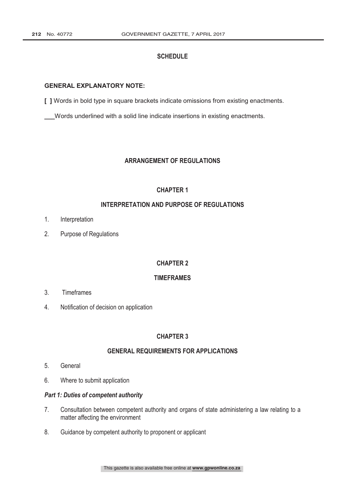# **SCHEDULE**

# **GENERAL EXPLANATORY NOTE:**

**[ ]** Words in bold type in square brackets indicate omissions from existing enactments.

**\_\_\_**Words underlined with a solid line indicate insertions in existing enactments.

# **ARRANGEMENT OF REGULATIONS**

# **CHAPTER 1**

# **INTERPRETATION AND PURPOSE OF REGULATIONS**

- 1. Interpretation
- 2. Purpose of Regulations

# **CHAPTER 2**

# **TIMEFRAMES**

- 3. Timeframes
- 4. Notification of decision on application

# **CHAPTER 3**

# **GENERAL REQUIREMENTS FOR APPLICATIONS**

- 5. General
- 6. Where to submit application

#### **Part 1: Duties of competent authority**

- 7. Consultation between competent authority and organs of state administering a law relating to a matter affecting the environment
- 8. Guidance by competent authority to proponent or applicant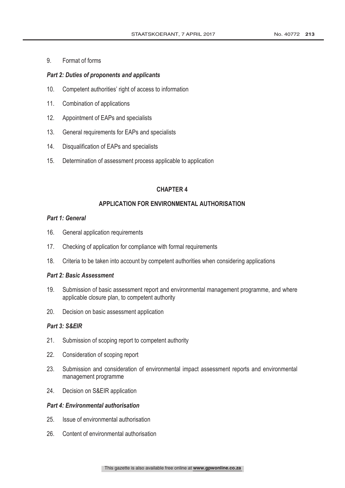9. Format of forms

# Part 2: Duties of proponents and applicants

- 10. Competent authorities' right of access to information
- 11. Combination of applications
- 12. Appointment of EAPs and specialists
- 13. General requirements for EAPs and specialists
- 14. Disqualification of EAPs and specialists
- 15. Determination of assessment process applicable to application

# **CHAPTER 4**

# APPLICATION FOR ENVIRONMENTAL AUTHORISATION

# Part 1: General

- 16. General application requirements
- 17. Checking of application for compliance with formal requirements
- 18. Criteria to be taken into account by competent authorities when considering applications

# **Part 2: Basic Assessment**

- 19. Submission of basic assessment report and environmental management programme, and where applicable closure plan, to competent authority
- 20. Decision on basic assessment application

# Part 3: S&EIR

- 21. Submission of scoping report to competent authority
- 22. Consideration of scoping report
- 23. Submission and consideration of environmental impact assessment reports and environmental management programme
- 24. Decision on S&EIR application

# **Part 4: Environmental authorisation**

- 25. Issue of environmental authorisation
- 26. Content of environmental authorisation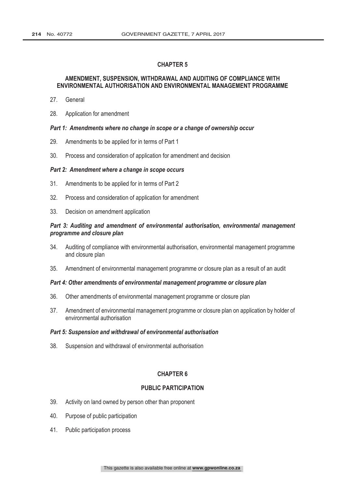#### AMENDMENT, SUSPENSION, WITHDRAWAL AND AUDITING OF COMPLIANCE WITH ENVIRONMENTAL AUTHORISATION AND ENVIRONMENTAL MANAGEMENT PROGRAMME

- 27. General
- 28. Application for amendment

#### Part 1: Amendments where no change in scope or a change of ownership occur

- 29. Amendments to be applied for in terms of Part 1
- 30. Process and consideration of application for amendment and decision

#### Part 2: Amendment where a change in scope occurs

- 31. Amendments to be applied for in terms of Part 2
- 32. Process and consideration of application for amendment
- 33. Decision on amendment application

## Part 3: Auditing and amendment of environmental authorisation, environmental management programme and closure plan

- 34. Auditing of compliance with environmental authorisation, environmental management programme and closure plan
- 35. Amendment of environmental management programme or closure plan as a result of an audit

#### Part 4: Other amendments of environmental management programme or closure plan

- 36. Other amendments of environmental management programme or closure plan
- 37. Amendment of environmental management programme or closure plan on application by holder of environmental authorisation

#### Part 5: Suspension and withdrawal of environmental authorisation

38. Suspension and withdrawal of environmental authorisation

#### **CHAPTER 6**

#### **PUBLIC PARTICIPATION**

- 39. Activity on land owned by person other than proponent
- 40. Purpose of public participation
- 41. Public participation process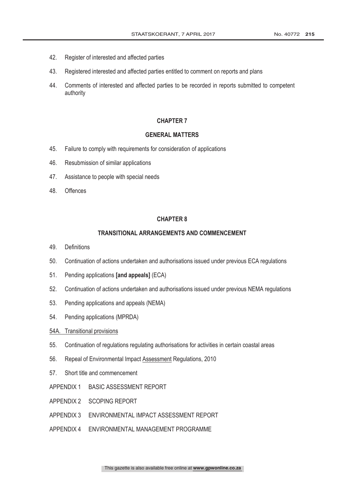- 42. Register of interested and affected parties
- 43. Registered interested and affected parties entitled to comment on reports and plans
- 44. Comments of interested and affected parties to be recorded in reports submitted to competent authority

#### **GENERAL MATTERS**

- 45. Failure to comply with requirements for consideration of applications
- 46. Resubmission of similar applications
- 47. Assistance to people with special needs
- 48. Offences

# **CHAPTER 8**

#### **TRANSITIONAL ARRANGEMENTS AND COMMENCEMENT**

- 49. Definitions
- 50. Continuation of actions undertaken and authorisations issued under previous ECA regulations
- 51. Pending applications [and appeals] (ECA)
- 52. Continuation of actions undertaken and authorisations issued under previous NEMA regulations
- 53. Pending applications and appeals (NEMA)
- 54. Pending applications (MPRDA)
- 54A. Transitional provisions
- 55. Continuation of regulations regulating authorisations for activities in certain coastal areas
- 56. Repeal of Environmental Impact Assessment Regulations, 2010
- 57. Short title and commencement
- APPENDIX 1 BASIC ASSESSMENT REPORT
- APPENDIX 2 SCOPING REPORT
- APPENDIX 3 ENVIRONMENTAL IMPACT ASSESSMENT REPORT
- APPENDIX 4 ENVIRONMENTAL MANAGEMENT PROGRAMME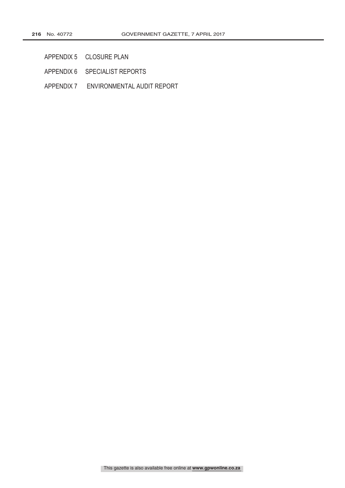- APPENDIX 5 CLOSURE PLAN
- APPENDIX 6 SPECIALIST REPORTS
- APPENDIX 7 ENVIRONMENTAL AUDIT REPORT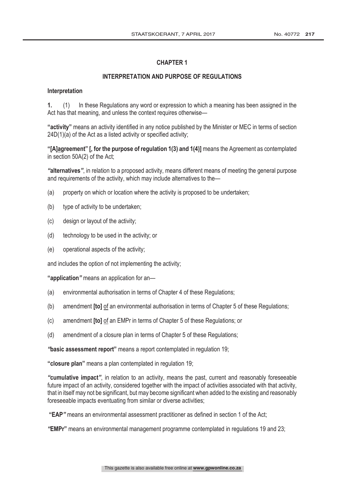# INTERPRETATION AND PURPOSE OF REGULATIONS

### Interpretation

 (1) In these Regulations any word or expression to which a meaning has been assigned in the Act has that meaning, and unless the context requires otherwise—

"activity" means an activity identified in any notice published by the Minister or MEC in terms of section 24D(1)(a) of the Act as a listed activity or specified activity;

"[A]agreement" [, for the purpose of regulation  $1(3)$  and  $1(4)$ ] means the Agreement as contemplated in section 50A(2) of the Act;

"alternatives", in relation to a proposed activity, means different means of meeting the general purpose and requirements of the activity, which may include alternatives to the—

- (a) property on which or location where the activity is proposed to be undertaken;
- (b) type of activity to be undertaken;
- (c) design or layout of the activity;
- (d) technology to be used in the activity; or
- (e) operational aspects of the activity;

and includes the option of not implementing the activity;

"application" means an application for an-

- (a) environmental authorisation in terms of Chapter 4 of these Regulations;
- (b) amendment  $[to]$  of an environmental authorisation in terms of Chapter 5 of these Regulations;
- $(c)$  amendment **[to]** of an EMPr in terms of Chapter 5 of these Regulations; or
- (d) amendment of a closure plan in terms of Chapter 5 of these Regulations;

"basic assessment report" means a report contemplated in regulation 19;

"closure plan" means a plan contemplated in regulation 19;

"cumulative impact", in relation to an activity, means the past, current and reasonably foreseeable future impact of an activity, considered together with the impact of activities associated with that activity, that in itself may not be significant, but may become significant when added to the existing and reasonably foreseeable impacts eventuating from similar or diverse activities;

"EAP" means an environmental assessment practitioner as defined in section 1 of the Act;

means an environmental management programme contemplated in regulations 19 and 23;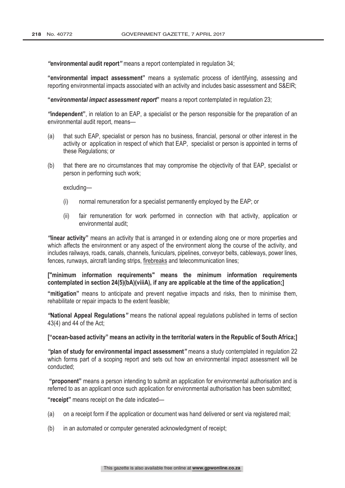"environmental audit report" means a report contemplated in regulation 34;

**"environmental impact assessment"** means a systematic process of identifying, assessing and reporting environmental impacts associated with an activity and includes basic assessment and S&EIR;

"environmental impact assessment report" means a report contemplated in regulation 23;

"independent", in relation to an EAP, a specialist or the person responsible for the preparation of an environmental audit report, means—

- (a) that such EAP, specialist or person has no business, financial, personal or other interest in the activity or application in respect of which that EAP, specialist or person is appointed in terms of these Regulations; or
- (b) that there are no circumstances that may compromise the objectivity of that EAP, specialist or person in performing such work;

excluding—

- (i) normal remuneration for a specialist permanently employed by the EAP; or
- (ii) fair remuneration for work performed in connection with that activity, application or environmental audit;

"linear activity" means an activity that is arranged in or extending along one or more properties and which affects the environment or any aspect of the environment along the course of the activity, and includes railways, roads, canals, channels, funiculars, pipelines, conveyor belts, cableways, power lines, fences, runways, aircraft landing strips, firebreaks and telecommunication lines;

# ["minimum information requirements" means the minimum information requirements contemplated in section 24(5)(bA)(viiiA), if any are applicable at the time of the application;]

"mitigation" means to anticipate and prevent negative impacts and risks, then to minimise them, rehabilitate or repair impacts to the extent feasible;

"National Appeal Regulations" means the national appeal regulations published in terms of section 43(4) and 44 of the Act;

#### ["ocean-based activity" means an activity in the territorial waters in the Republic of South Africa;]

"plan of study for environmental impact assessment" means a study contemplated in regulation 22 which forms part of a scoping report and sets out how an environmental impact assessment will be conducted;

"proponent" means a person intending to submit an application for environmental authorisation and is referred to as an applicant once such application for environmental authorisation has been submitted;

"receipt" means receipt on the date indicated—

- (a) on a receipt form if the application or document was hand delivered or sent via registered mail;
- (b) in an automated or computer generated acknowledgment of receipt;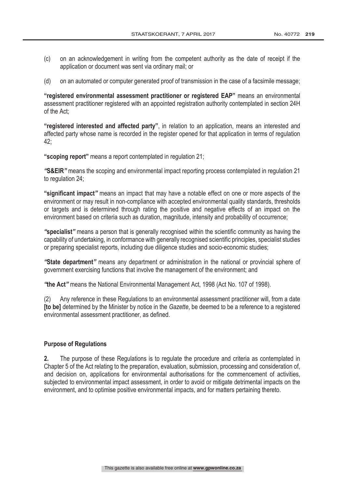- (c) on an acknowledgement in writing from the competent authority as the date of receipt if the application or document was sent via ordinary mail; or
- (d) on an automated or computer generated proof of transmission in the case of a facsimile message;

"registered environmental assessment practitioner or registered EAP" means an environmental assessment practitioner registered with an appointed registration authority contemplated in section 24H of the Act;

"registered interested and affected party", in relation to an application, means an interested and affected party whose name is recorded in the register opened for that application in terms of regulation 42;

"scoping report" means a report contemplated in regulation 21;

"S&EIR" means the scoping and environmental impact reporting process contemplated in regulation 21 to regulation 24;

**"significant impact"** means an impact that may have a notable effect on one or more aspects of the environment or may result in non-compliance with accepted environmental quality standards, thresholds or targets and is determined through rating the positive and negative effects of an impact on the environment based on criteria such as duration, magnitude, intensity and probability of occurrence;

"specialist" means a person that is generally recognised within the scientific community as having the capability of undertaking, in conformance with generally recognised scientific principles, specialist studies or preparing specialist reports, including due diligence studies and socio-economic studies;

**"State department"** means any department or administration in the national or provincial sphere of government exercising functions that involve the management of the environment; and

"the Act" means the National Environmental Management Act, 1998 (Act No. 107 of 1998).

(2) Any reference in these Regulations to an environmental assessment practitioner will, from a date [to be] determined by the Minister by notice in the Gazette, be deemed to be a reference to a registered environmental assessment practitioner, as defined.

#### **Purpose of Regulations**

2. The purpose of these Regulations is to regulate the procedure and criteria as contemplated in Chapter 5 of the Act relating to the preparation, evaluation, submission, processing and consideration of, and decision on, applications for environmental authorisations for the commencement of activities, subjected to environmental impact assessment, in order to avoid or mitigate detrimental impacts on the environment, and to optimise positive environmental impacts, and for matters pertaining thereto.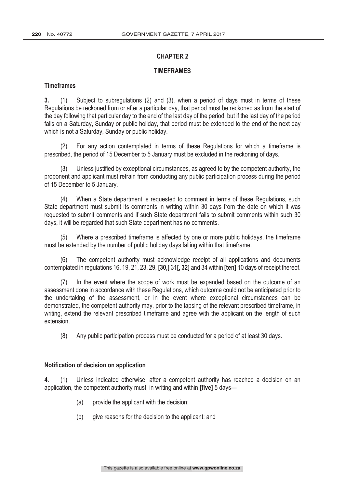#### **TIMEFRAMES**

# **Timeframes**

 (1) Subject to subregulations (2) and (3), when a period of days must in terms of these Regulations be reckoned from or after a particular day, that period must be reckoned as from the start of the day following that particular day to the end of the last day of the period, but if the last day of the period falls on a Saturday, Sunday or public holiday, that period must be extended to the end of the next day which is not a Saturday, Sunday or public holiday.

(2) For any action contemplated in terms of these Regulations for which a timeframe is prescribed, the period of 15 December to 5 January must be excluded in the reckoning of days.

(3) Unless justified by exceptional circumstances, as agreed to by the competent authority, the proponent and applicant must refrain from conducting any public participation process during the period of 15 December to 5 January.

(4) When a State department is requested to comment in terms of these Regulations, such State department must submit its comments in writing within 30 days from the date on which it was requested to submit comments and if such State department fails to submit comments within such 30 days, it will be regarded that such State department has no comments.

(5) Where a prescribed timeframe is affected by one or more public holidays, the timeframe must be extended by the number of public holiday days falling within that timeframe.

(6) The competent authority must acknowledge receipt of all applications and documents contemplated in regulations 16, 19, 21, 23, 29,  $\left[30, 31\right]$ , 32] and 34 within  $\left[$ ten $\right]$  10 days of receipt thereof.

(7) In the event where the scope of work must be expanded based on the outcome of an assessment done in accordance with these Regulations, which outcome could not be anticipated prior to the undertaking of the assessment, or in the event where exceptional circumstances can be demonstrated, the competent authority may, prior to the lapsing of the relevant prescribed timeframe, in writing, extend the relevant prescribed timeframe and agree with the applicant on the length of such extension.

(8) Any public participation process must be conducted for a period of at least 30 days.

#### Notification of decision on application

4. (1) Unless indicated otherwise, after a competent authority has reached a decision on an application, the competent authority must, in writing and within **[five]** 5 days—

- (a) provide the applicant with the decision;
- (b) give reasons for the decision to the applicant; and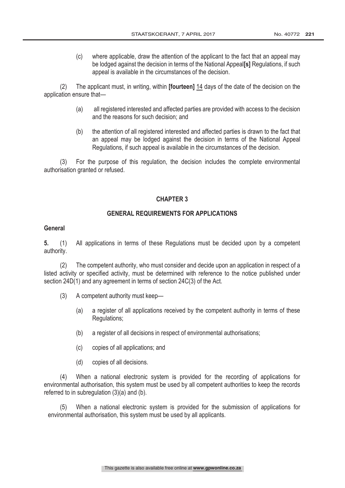(c) where applicable, draw the attention of the applicant to the fact that an appeal may be lodged against the decision in terms of the National Appeal<sup>[s]</sup> Regulations, if such appeal is available in the circumstances of the decision.

(2) The applicant must, in writing, within **[fourteen]** 14 days of the date of the decision on the application ensure that

- (a) all registered interested and affected parties are provided with access to the decision and the reasons for such decision; and
- (b) the attention of all registered interested and affected parties is drawn to the fact that an appeal may be lodged against the decision in terms of the National Appeal Regulations, if such appeal is available in the circumstances of the decision.

(3) For the purpose of this regulation, the decision includes the complete environmental authorisation granted or refused.

# **CHAPTER 3**

# **GENERAL REQUIREMENTS FOR APPLICATIONS**

# **General**

 (1) All applications in terms of these Regulations must be decided upon by a competent authority.

(2) The competent authority, who must consider and decide upon an application in respect of a listed activity or specified activity, must be determined with reference to the notice published under section 24D(1) and any agreement in terms of section 24C(3) of the Act.

- (3) A competent authority must keep—
	- (a) a register of all applications received by the competent authority in terms of these Regulations;
	- (b) a register of all decisions in respect of environmental authorisations;
	- (c) copies of all applications; and
	- (d) copies of all decisions.

(4) When a national electronic system is provided for the recording of applications for environmental authorisation, this system must be used by all competent authorities to keep the records referred to in subregulation (3)(a) and (b).

(5) When a national electronic system is provided for the submission of applications for environmental authorisation, this system must be used by all applicants.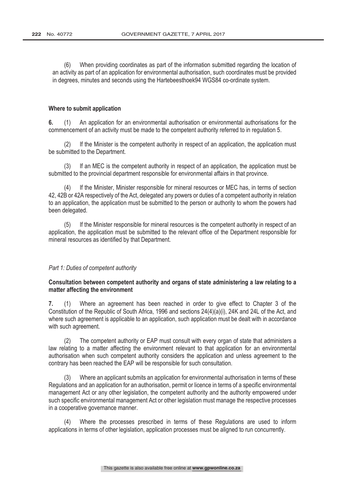(6) When providing coordinates as part of the information submitted regarding the location of an activity as part of an application for environmental authorisation, such coordinates must be provided in degrees, minutes and seconds using the Hartebeesthoek94 WGS84 co-ordinate system.

#### Where to submit application

 (1) An application for an environmental authorisation or environmental authorisations for the commencement of an activity must be made to the competent authority referred to in regulation 5.

(2) If the Minister is the competent authority in respect of an application, the application must be submitted to the Department.

If an MEC is the competent authority in respect of an application, the application must be submitted to the provincial department responsible for environmental affairs in that province.

(4) If the Minister, Minister responsible for mineral resources or MEC has, in terms of section 42, 42B or 42A respectively of the Act, delegated any powers or duties of a competent authority in relation to an application, the application must be submitted to the person or authority to whom the powers had been delegated.

(5) If the Minister responsible for mineral resources is the competent authority in respect of an application, the application must be submitted to the relevant office of the Department responsible for mineral resources as identified by that Department.

# Part 1: Duties of competent authority

# Consultation between competent authority and organs of state administering a law relating to a matter affecting the environment

 (1) Where an agreement has been reached in order to give effect to Chapter 3 of the Constitution of the Republic of South Africa, 1996 and sections 24(4)(a)(i), 24K and 24L of the Act, and where such agreement is applicable to an application, such application must be dealt with in accordance with such agreement.

(2) The competent authority or EAP must consult with every organ of state that administers a law relating to a matter affecting the environment relevant to that application for an environmental authorisation when such competent authority considers the application and unless agreement to the contrary has been reached the EAP will be responsible for such consultation.

(3) Where an applicant submits an application for environmental authorisation in terms of these Regulations and an application for an authorisation, permit or licence in terms of a specific environmental management Act or any other legislation, the competent authority and the authority empowered under such specific environmental management Act or other legislation must manage the respective processes in a cooperative governance manner.

(4) Where the processes prescribed in terms of these Regulations are used to inform applications in terms of other legislation, application processes must be aligned to run concurrently.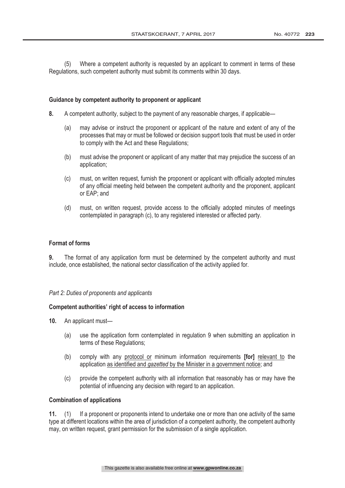(5) Where a competent authority is requested by an applicant to comment in terms of these Regulations, such competent authority must submit its comments within 30 days.

#### Guidance by competent authority to proponent or applicant

- A competent authority, subject to the payment of any reasonable charges, if applicable—
	- (a) may advise or instruct the proponent or applicant of the nature and extent of any of the processes that may or must be followed or decision support tools that must be used in order to comply with the Act and these Regulations;
	- (b) must advise the proponent or applicant of any matter that may prejudice the success of an application;
	- (c) must, on written request, furnish the proponent or applicant with officially adopted minutes of any official meeting held between the competent authority and the proponent, applicant or EAP; and
	- (d) must, on written request, provide access to the officially adopted minutes of meetings contemplated in paragraph (c), to any registered interested or affected party.

#### **Format of forms**

**9.** The format of any application form must be determined by the competent authority and must include, once established, the national sector classification of the activity applied for.

#### Part 2: Duties of proponents and applicants

#### Competent authorities' right of access to information

- 10. An applicant must-
	- (a) use the application form contemplated in regulation 9 when submitting an application in terms of these Regulations;
	- (b) comply with any protocol or minimum information requirements  $[for]$  relevant to the application as identified and gazetted by the Minister in a government notice; and
	- (c) provide the competent authority with all information that reasonably has or may have the potential of influencing any decision with regard to an application.

#### **Combination of applications**

11. (1) If a proponent or proponents intend to undertake one or more than one activity of the same type at different locations within the area of jurisdiction of a competent authority, the competent authority may, on written request, grant permission for the submission of a single application.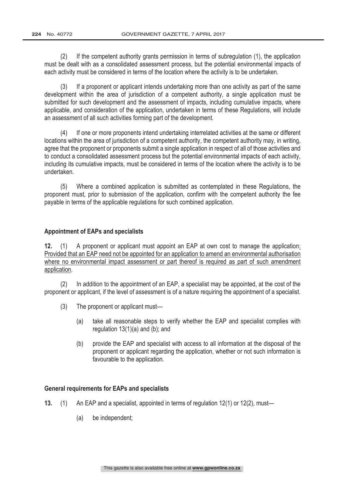(2) If the competent authority grants permission in terms of subregulation (1), the application must be dealt with as a consolidated assessment process, but the potential environmental impacts of each activity must be considered in terms of the location where the activity is to be undertaken.

(3) If a proponent or applicant intends undertaking more than one activity as part of the same development within the area of jurisdiction of a competent authority, a single application must be submitted for such development and the assessment of impacts, including cumulative impacts, where applicable, and consideration of the application, undertaken in terms of these Regulations, will include an assessment of all such activities forming part of the development.

(4) If one or more proponents intend undertaking interrelated activities at the same or different locations within the area of jurisdiction of a competent authority, the competent authority may, in writing, agree that the proponent or proponents submit a single application in respect of all of those activities and to conduct a consolidated assessment process but the potential environmental impacts of each activity, including its cumulative impacts, must be considered in terms of the location where the activity is to be undertaken.

(5) Where a combined application is submitted as contemplated in these Regulations, the proponent must, prior to submission of the application, confirm with the competent authority the fee payable in terms of the applicable regulations for such combined application.

# **Appointment of EAPs and specialists**

12. (1) A proponent or applicant must appoint an EAP at own cost to manage the application: Provided that an EAP need not be appointed for an application to amend an environmental authorisation where no environmental impact assessment or part thereof is required as part of such amendment application.

(2) In addition to the appointment of an EAP, a specialist may be appointed, at the cost of the proponent or applicant, if the level of assessment is of a nature requiring the appointment of a specialist.

- (3) The proponent or applicant must—
	- (a) take all reasonable steps to verify whether the EAP and specialist complies with regulation 13(1)(a) and (b); and
	- (b) provide the EAP and specialist with access to all information at the disposal of the proponent or applicant regarding the application, whether or not such information is favourable to the application.

# **General requirements for EAPs and specialists**

- (1) An EAP and a specialist, appointed in terms of regulation 12(1) or 12(2), must—
	- (a) be independent;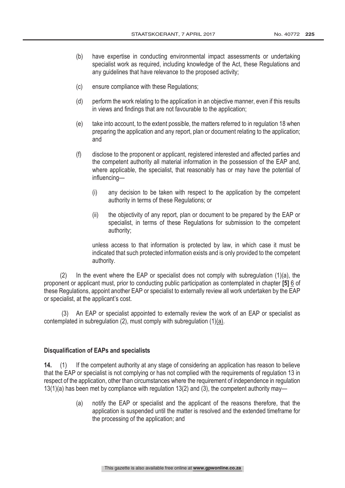- (b) have expertise in conducting environmental impact assessments or undertaking specialist work as required, including knowledge of the Act, these Regulations and any guidelines that have relevance to the proposed activity;
- (c) ensure compliance with these Regulations;
- (d) perform the work relating to the application in an objective manner, even if this results in views and findings that are not favourable to the application;
- (e) take into account, to the extent possible, the matters referred to in regulation 18 when preparing the application and any report, plan or document relating to the application; and
- (f) disclose to the proponent or applicant, registered interested and affected parties and the competent authority all material information in the possession of the EAP and, where applicable, the specialist, that reasonably has or may have the potential of influencing—
	- (i) any decision to be taken with respect to the application by the competent authority in terms of these Regulations; or
	- (ii) the objectivity of any report, plan or document to be prepared by the EAP or specialist, in terms of these Regulations for submission to the competent authority;

unless access to that information is protected by law, in which case it must be indicated that such protected information exists and is only provided to the competent authority.

(2) In the event where the EAP or specialist does not comply with subregulation (1)(a), the proponent or applicant must, prior to conducting public participation as contemplated in chapter [5] 6 of these Regulations, appoint another EAP or specialist to externally review all work undertaken by the EAP or specialist, at the applicant's cost.

 (3) An EAP or specialist appointed to externally review the work of an EAP or specialist as contemplated in subregulation (2), must comply with subregulation (1)(a).

# **Disqualification of EAPs and specialists**

14. (1) If the competent authority at any stage of considering an application has reason to believe that the EAP or specialist is not complying or has not complied with the requirements of regulation 13 in respect of the application, other than circumstances where the requirement of independence in regulation 13(1)(a) has been met by compliance with regulation 13(2) and (3), the competent authority may—

> (a) notify the EAP or specialist and the applicant of the reasons therefore, that the application is suspended until the matter is resolved and the extended timeframe for the processing of the application; and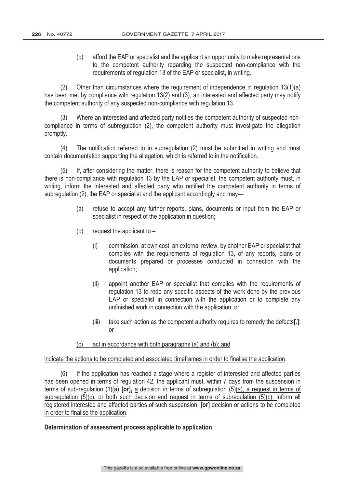(b) afford the EAP or specialist and the applicant an opportunity to make representations to the competent authority regarding the suspected non-compliance with the requirements of regulation 13 of the EAP or specialist, in writing.

(2) Other than circumstances where the requirement of independence in regulation 13(1)(a) has been met by compliance with regulation 13(2) and (3), an interested and affected party may notify the competent authority of any suspected non-compliance with regulation 13.

(3) Where an interested and affected party notifies the competent authority of suspected noncompliance in terms of subregulation (2), the competent authority must investigate the allegation promptly.

(4) The notification referred to in subregulation (2) must be submitted in writing and must contain documentation supporting the allegation, which is referred to in the notification.

(5) If, after considering the matter, there is reason for the competent authority to believe that there is non-compliance with regulation 13 by the EAP or specialist, the competent authority must, in writing, inform the interested and affected party who notified the competent authority in terms of subregulation (2), the EAP or specialist and the applicant accordingly and may—

- (a) refuse to accept any further reports, plans, documents or input from the EAP or specialist in respect of the application in question;
- (b) request the applicant to  $-$ 
	- (i) commission, at own cost, an external review, by another EAP or specialist that complies with the requirements of regulation 13, of any reports, plans or documents prepared or processes conducted in connection with the application;
	- (ii) appoint another EAP or specialist that complies with the requirements of regulation 13 to redo any specific aspects of the work done by the previous EAP or specialist in connection with the application or to complete any unfinished work in connection with the application; or
	- (iii) take such action as the competent authority requires to remedy the defects[.]; or

# act in accordance with both paragraphs (a) and (b); and

#### indicate the actions to be completed and associated timeframes in order to finalise the application.

(6) If the application has reached a stage where a register of interested and affected parties has been opened in terms of regulation 42, the applicant must, within 7 days from the suspension in terms of sub-regulation (1)(a) [or], a decision in terms of subregulation (5)(a), a request in terms of subregulation (5)(c), or both such decision and request in terms of subregulation (5)(c), inform all registered interested and affected parties of such suspension. **[or]** decision or actions to be completed in order to finalise the application.

#### Determination of assessment process applicable to application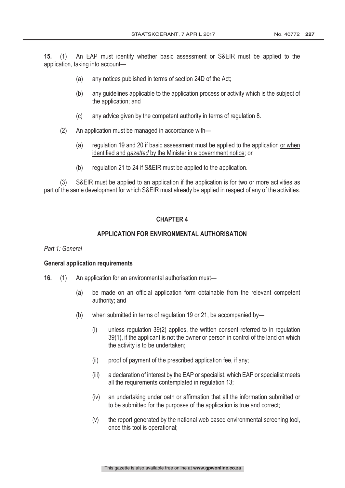(1) An EAP must identify whether basic assessment or S&EIR must be applied to the application, taking into account—

- (a) any notices published in terms of section 24D of the Act;
- (b) any guidelines applicable to the application process or activity which is the subject of the application; and
- (c) any advice given by the competent authority in terms of regulation 8.
- (2) An application must be managed in accordance with—
	- (a) regulation 19 and 20 if basic assessment must be applied to the application or when identified and *gazetted* by the Minister in a government notice; or
	- (b) regulation 21 to 24 if S&EIR must be applied to the application.

(3) S&EIR must be applied to an application if the application is for two or more activities as part of the same development for which S&EIR must already be applied in respect of any of the activities.

# **CHAPTER 4**

# APPLICATION FOR ENVIRONMENTAL AUTHORISATION

#### Part 1: General

#### **General application requirements**

- 16. (1) An application for an environmental authorisation must—
	- (a) be made on an official application form obtainable from the relevant competent authority; and
	- (b) when submitted in terms of regulation 19 or 21, be accompanied by—
		- (i) unless regulation 39(2) applies, the written consent referred to in regulation 39(1), if the applicant is not the owner or person in control of the land on which the activity is to be undertaken;
		- (ii) proof of payment of the prescribed application fee, if any;
		- (iii) a declaration of interest by the EAP or specialist, which EAP or specialist meets all the requirements contemplated in regulation 13;
		- (iv) an undertaking under oath or affirmation that all the information submitted or to be submitted for the purposes of the application is true and correct;
		- (v) the report generated by the national web based environmental screening tool, once this tool is operational;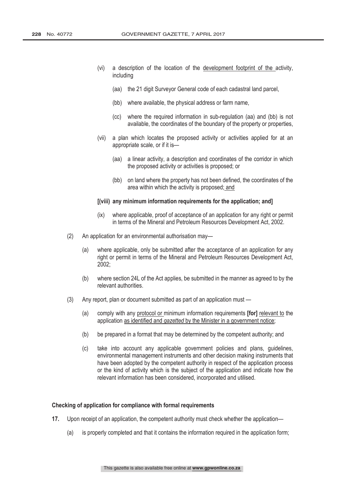- (vi) a description of the location of the development footprint of the activity, including
	- (aa) the 21 digit Surveyor General code of each cadastral land parcel,
	- (bb) where available, the physical address or farm name,
	- (cc) where the required information in sub-regulation (aa) and (bb) is not available, the coordinates of the boundary of the property or properties,
- (vii) a plan which locates the proposed activity or activities applied for at an appropriate scale, or if it is—
	- (aa) a linear activity, a description and coordinates of the corridor in which the proposed activity or activities is proposed; or
	- (bb) on land where the property has not been defined, the coordinates of the area within which the activity is proposed; and

#### **[(viii)** any minimum information requirements for the application; and

- (ix) where applicable, proof of acceptance of an application for any right or permit in terms of the Mineral and Petroleum Resources Development Act, 2002.
- (2) An application for an environmental authorisation may—
	- (a) where applicable, only be submitted after the acceptance of an application for any right or permit in terms of the Mineral and Petroleum Resources Development Act, 2002;
	- (b) where section 24L of the Act applies, be submitted in the manner as agreed to by the relevant authorities.
- (3) Any report, plan or document submitted as part of an application must
	- (a) comply with any protocol or minimum information requirements  $\text{[for]}$  relevant to the application as identified and *gazetted* by the Minister in a government notice;
	- (b) be prepared in a format that may be determined by the competent authority; and
	- (c) take into account any applicable government policies and plans, guidelines, environmental management instruments and other decision making instruments that have been adopted by the competent authority in respect of the application process or the kind of activity which is the subject of the application and indicate how the relevant information has been considered, incorporated and utilised.

#### Checking of application for compliance with formal requirements

- 17. Upon receipt of an application, the competent authority must check whether the application—
	- (a) is properly completed and that it contains the information required in the application form;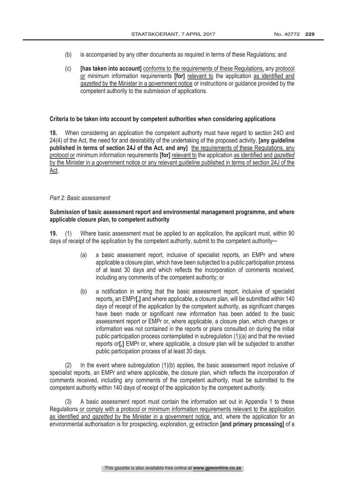- (b) is accompanied by any other documents as required in terms of these Regulations; and
- $(c)$  [has taken into account] conforms to the requirements of these Regulations, any protocol or minimum information requirements **[for]** relevant to the application as identified and gazetted by the Minister in a government notice or instructions or guidance provided by the competent authority to the submission of applications.

### Criteria to be taken into account by competent authorities when considering applications

 When considering an application the competent authority must have regard to section 24O and 24(4) of the Act, the need for and desirability of the undertaking of the proposed activity, **[any quideline** published in terms of section 24J of the Act, and any] the requirements of these Requlations, any protocol or minimum information requirements **[for]** relevant to the application as identified and gazetted by the Minister in a government notice or any relevant guideline published in terms of section 24J of the Act.

#### Part 2: Basic assessment

# Submission of basic assessment report and environmental management programme, and where applicable closure plan, to competent authority

 (1) Where basic assessment must be applied to an application, the applicant must, within 90 days of receipt of the application by the competent authority, submit to the competent authority—

- (a) a basic assessment report, inclusive of specialist reports, an EMPr and where applicable a closure plan, which have been subjected to a public participation process of at least 30 days and which reflects the incorporation of comments received, including any comments of the competent authority; or
- (b) a notification in writing that the basic assessment report, inclusive of specialist reports, an EMPr[,] and where applicable, a closure plan, will be submitted within 140 days of receipt of the application by the competent authority, as significant changes have been made or significant new information has been added to the basic assessment report or EMPr or, where applicable, a closure plan, which changes or information was not contained in the reports or plans consulted on during the initial public participation process contemplated in subregulation (1)(a) and that the revised reports or<sup>[</sup>,] EMPr or, where applicable, a closure plan will be subjected to another public participation process of at least 30 days.

(2) In the event where subregulation (1)(b) applies, the basic assessment report inclusive of specialist reports, an EMPr and where applicable, the closure plan, which reflects the incorporation of comments received, including any comments of the competent authority, must be submitted to the competent authority within 140 days of receipt of the application by the competent authority.

A basic assessment report must contain the information set out in Appendix 1 to these Regulations or comply with a protocol or minimum information requirements relevant to the application as identified and gazetted by the Minister in a government notice, and, where the application for an environmental authorisation is for prospecting, exploration, or extraction [and primary processing] of a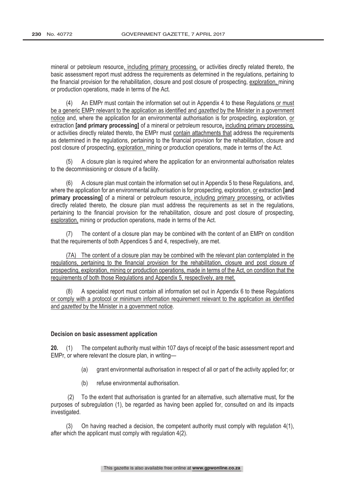mineral or petroleum resource, including primary processing, or activities directly related thereto, the basic assessment report must address the requirements as determined in the regulations, pertaining to the financial provision for the rehabilitation, closure and post closure of prospecting, exploration, mining or production operations, made in terms of the Act.

(4) An EMPr must contain the information set out in Appendix 4 to these Regulations or must be a generic EMPr relevant to the application as identified and gazetted by the Minister in a government notice and, where the application for an environmental authorisation is for prospecting, exploration, or extraction **[and primary processing]** of a mineral or petroleum resource, including primary processing, or activities directly related thereto, the EMPr must contain attachments that address the requirements as determined in the regulations, pertaining to the financial provision for the rehabilitation, closure and post closure of prospecting, exploration, mining or production operations, made in terms of the Act.

(5) A closure plan is required where the application for an environmental authorisation relates to the decommissioning or closure of a facility.

(6) A closure plan must contain the information set out in Appendix 5 to these Regulations, and, where the application for an environmental authorisation is for prospecting, exploration, or extraction **[and** primary processing] of a mineral or petroleum resource, including primary processing, or activities directly related thereto, the closure plan must address the requirements as set in the regulations, pertaining to the financial provision for the rehabilitation, closure and post closure of prospecting, exploration, mining or production operations, made in terms of the Act.

(7) The content of a closure plan may be combined with the content of an EMPr on condition that the requirements of both Appendices 5 and 4, respectively, are met.

(7A) The content of a closure plan may be combined with the relevant plan contemplated in the regulations, pertaining to the financial provision for the rehabilitation, closure and post closure of prospecting, exploration, mining or production operations, made in terms of the Act, on condition that the requirements of both those Regulations and Appendix 5, respectively, are met.

(8) A specialist report must contain all information set out in Appendix 6 to these Regulations or comply with a protocol or minimum information requirement relevant to the application as identified and gazetted by the Minister in a government notice.

#### Decision on basic assessment application

20. (1) The competent authority must within 107 days of receipt of the basic assessment report and EMPr, or where relevant the closure plan, in writing—

- (a) grant environmental authorisation in respect of all or part of the activity applied for; or
- (b) refuse environmental authorisation.

 (2) To the extent that authorisation is granted for an alternative, such alternative must, for the purposes of subregulation (1), be regarded as having been applied for, consulted on and its impacts investigated.

(3) On having reached a decision, the competent authority must comply with regulation 4(1), after which the applicant must comply with regulation 4(2).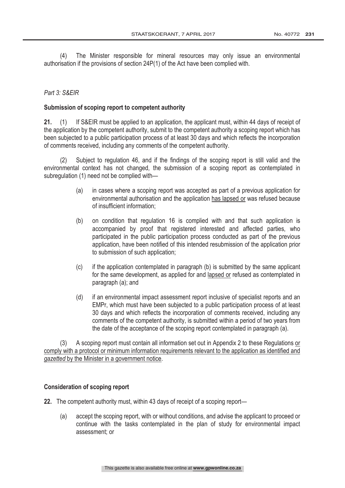(4) The Minister responsible for mineral resources may only issue an environmental authorisation if the provisions of section 24P(1) of the Act have been complied with.

# Part 3: S&EIR

# Submission of scoping report to competent authority

21. (1) If S&EIR must be applied to an application, the applicant must, within 44 days of receipt of the application by the competent authority, submit to the competent authority a scoping report which has been subjected to a public participation process of at least 30 days and which reflects the incorporation of comments received, including any comments of the competent authority.

(2) Subject to regulation 46, and if the findings of the scoping report is still valid and the environmental context has not changed, the submission of a scoping report as contemplated in subregulation (1) need not be complied with—

- (a) in cases where a scoping report was accepted as part of a previous application for environmental authorisation and the application has lapsed or was refused because of insufficient information;
- (b) on condition that regulation 16 is complied with and that such application is accompanied by proof that registered interested and affected parties, who participated in the public participation process conducted as part of the previous application, have been notified of this intended resubmission of the application prior to submission of such application;
- (c) if the application contemplated in paragraph (b) is submitted by the same applicant for the same development, as applied for and lapsed or refused as contemplated in paragraph (a); and
- (d) if an environmental impact assessment report inclusive of specialist reports and an EMPr, which must have been subjected to a public participation process of at least 30 days and which reflects the incorporation of comments received, including any comments of the competent authority, is submitted within a period of two years from the date of the acceptance of the scoping report contemplated in paragraph (a).

(3) A scoping report must contain all information set out in Appendix 2 to these Regulations or comply with a protocol or minimum information requirements relevant to the application as identified and aazetted by the Minister in a government notice.

# **Consideration of scoping report**

22. The competent authority must, within 43 days of receipt of a scoping report—

(a) accept the scoping report, with or without conditions, and advise the applicant to proceed or continue with the tasks contemplated in the plan of study for environmental impact assessment; or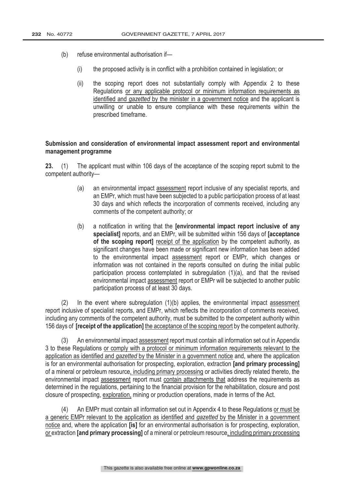- (b) refuse environmental authorisation if—
	- (i) the proposed activity is in conflict with a prohibition contained in legislation; or
	- (ii) the scoping report does not substantially comply with Appendix 2 to these Regulations or any applicable protocol or minimum information requirements as identified and gazetted by the minister in a government notice and the applicant is unwilling or unable to ensure compliance with these requirements within the prescribed timeframe.

# Submission and consideration of environmental impact assessment report and environmental management programme

23. (1) The applicant must within 106 days of the acceptance of the scoping report submit to the competent authority—

- (a) an environmental impact assessment report inclusive of any specialist reports, and an EMPr, which must have been subjected to a public participation process of at least 30 days and which reflects the incorporation of comments received, including any comments of the competent authority; or
- (b) a notification in writing that the **[environmental impact report inclusive of any** specialist] reports, and an EMPr, will be submitted within 156 days of acceptance of the scoping report] receipt of the application by the competent authority, as significant changes have been made or significant new information has been added to the environmental impact assessment report or EMPr, which changes or information was not contained in the reports consulted on during the initial public participation process contemplated in subregulation (1)(a), and that the revised environmental impact assessment report or EMPr will be subjected to another public participation process of at least 30 days.

(2) In the event where subregulation (1)(b) applies, the environmental impact assessment report inclusive of specialist reports, and EMPr, which reflects the incorporation of comments received, including any comments of the competent authority, must be submitted to the competent authority within 156 days of **[receipt of the application]** the acceptance of the scoping report by the competent authority.

(3) An environmental impact assessment report must contain all information set out in Appendix 3 to these Regulations or comply with a protocol or minimum information requirements relevant to the application as identified and gazetted by the Minister in a government notice and, where the application is for an environmental authorisation for prospecting, exploration, extraction [and primary processing] of a mineral or petroleum resource, including primary processing or activities directly related thereto, the environmental impact assessment report must contain attachments that address the requirements as determined in the regulations, pertaining to the financial provision for the rehabilitation, closure and post closure of prospecting, exploration, mining or production operations, made in terms of the Act.

(4) An EMPr must contain all information set out in Appendix 4 to these Regulations or must be a generic EMPr relevant to the application as identified and gazetted by the Minister in a government notice and, where the application [is] for an environmental authorisation is for prospecting, exploration, or extraction **[and primary processing]** of a mineral or petroleum resource, including primary processing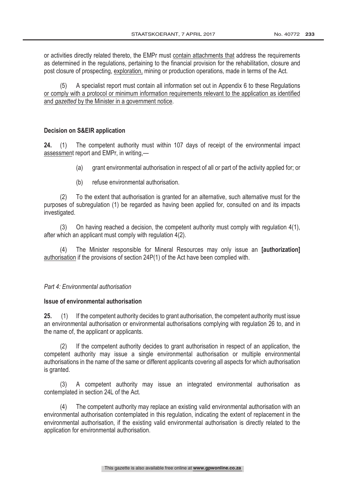or activities directly related thereto, the EMPr must contain attachments that address the requirements as determined in the regulations, pertaining to the financial provision for the rehabilitation, closure and post closure of prospecting, exploration, mining or production operations, made in terms of the Act.

(5) A specialist report must contain all information set out in Appendix 6 to these Regulations or comply with a protocol or minimum information requirements relevant to the application as identified and *gazetted* by the Minister in a government notice.

# **Decision on S&EIR application**

24. (1) The competent authority must within 107 days of receipt of the environmental impact assessment report and EMPr, in writing,—

- (a) grant environmental authorisation in respect of all or part of the activity applied for; or
- (b) refuse environmental authorisation.

(2) To the extent that authorisation is granted for an alternative, such alternative must for the purposes of subregulation (1) be regarded as having been applied for, consulted on and its impacts investigated.

(3) On having reached a decision, the competent authority must comply with regulation 4(1), after which an applicant must comply with regulation 4(2).

(4) The Minister responsible for Mineral Resources may only issue an *[authorization]* authorisation if the provisions of section 24P(1) of the Act have been complied with.

# Part 4: Environmental authorisation

# Issue of environmental authorisation

25. (1) If the competent authority decides to grant authorisation, the competent authority must issue an environmental authorisation or environmental authorisations complying with regulation 26 to, and in the name of, the applicant or applicants.

(2) If the competent authority decides to grant authorisation in respect of an application, the competent authority may issue a single environmental authorisation or multiple environmental authorisations in the name of the same or different applicants covering all aspects for which authorisation is granted.

(3) A competent authority may issue an integrated environmental authorisation as contemplated in section 24L of the Act.

(4) The competent authority may replace an existing valid environmental authorisation with an environmental authorisation contemplated in this regulation, indicating the extent of replacement in the environmental authorisation, if the existing valid environmental authorisation is directly related to the application for environmental authorisation.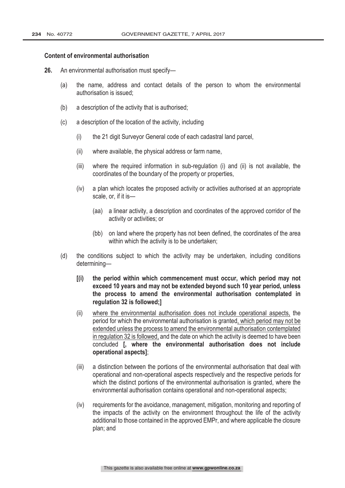#### Content of environmental authorisation

- 26. An environmental authorisation must specify-
	- (a) the name, address and contact details of the person to whom the environmental authorisation is issued;
	- (b) a description of the activity that is authorised;
	- (c) a description of the location of the activity, including
		- (i) the 21 digit Surveyor General code of each cadastral land parcel,
		- (ii) where available, the physical address or farm name,
		- (iii) where the required information in sub-regulation (i) and (ii) is not available, the coordinates of the boundary of the property or properties,
		- (iv) a plan which locates the proposed activity or activities authorised at an appropriate scale, or, if it is—
			- (aa) a linear activity, a description and coordinates of the approved corridor of the activity or activities; or
			- (bb) on land where the property has not been defined, the coordinates of the area within which the activity is to be undertaken;
	- (d) the conditions subject to which the activity may be undertaken, including conditions determining—
		- [(i) the period within which commencement must occur, which period may not exceed 10 years and may not be extended beyond such 10 year period, unless the process to amend the environmental authorisation contemplated in regulation 32 is followed;]
		- (ii) where the environmental authorisation does not include operational aspects, the period for which the environmental authorisation is granted, which period may not be extended unless the process to amend the environmental authorisation contemplated in regulation 32 is followed, and the date on which the activity is deemed to have been concluded **[, where the environmental authorisation does not include** operational aspects];
		- (iii) a distinction between the portions of the environmental authorisation that deal with operational and non-operational aspects respectively and the respective periods for which the distinct portions of the environmental authorisation is granted, where the environmental authorisation contains operational and non-operational aspects;
		- (iv) requirements for the avoidance, management, mitigation, monitoring and reporting of the impacts of the activity on the environment throughout the life of the activity additional to those contained in the approved EMPr, and where applicable the closure plan; and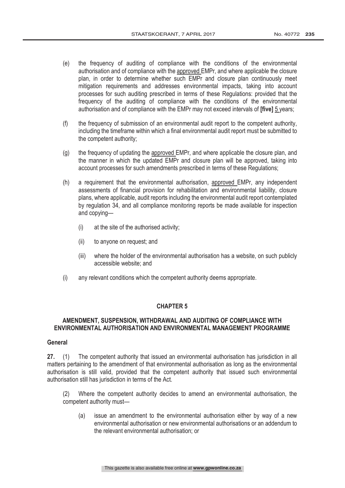- (e) the frequency of auditing of compliance with the conditions of the environmental authorisation and of compliance with the approved EMPr, and where applicable the closure plan, in order to determine whether such EMPr and closure plan continuously meet mitigation requirements and addresses environmental impacts, taking into account processes for such auditing prescribed in terms of these Regulations: provided that the frequency of the auditing of compliance with the conditions of the environmental authorisation and of compliance with the EMPr may not exceed intervals of [five] 5 years;
- (f) the frequency of submission of an environmental audit report to the competent authority, including the timeframe within which a final environmental audit report must be submitted to the competent authority;
- (g) the frequency of updating the approved EMPr, and where applicable the closure plan, and the manner in which the updated EMPr and closure plan will be approved, taking into account processes for such amendments prescribed in terms of these Regulations;
- (h) a requirement that the environmental authorisation, approved EMPr, any independent assessments of financial provision for rehabilitation and environmental liability, closure plans, where applicable, audit reports including the environmental audit report contemplated by regulation 34, and all compliance monitoring reports be made available for inspection and copying—
	- (i) at the site of the authorised activity;
	- (ii) to anyone on request; and
	- (iii) where the holder of the environmental authorisation has a website, on such publicly accessible website; and
- (i) any relevant conditions which the competent authority deems appropriate.

# AMENDMENT. SUSPENSION. WITHDRAWAL AND AUDITING OF COMPLIANCE WITH ENVIRONMENTAL AUTHORISATION AND ENVIRONMENTAL MANAGEMENT PROGRAMME

#### General

27. (1) The competent authority that issued an environmental authorisation has jurisdiction in all matters pertaining to the amendment of that environmental authorisation as long as the environmental authorisation is still valid, provided that the competent authority that issued such environmental authorisation still has jurisdiction in terms of the Act.

 (2) Where the competent authority decides to amend an environmental authorisation, the competent authority must—

(a) issue an amendment to the environmental authorisation either by way of a new environmental authorisation or new environmental authorisations or an addendum to the relevant environmental authorisation; or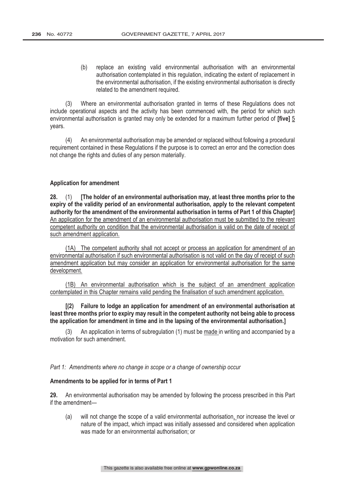(b) replace an existing valid environmental authorisation with an environmental authorisation contemplated in this regulation, indicating the extent of replacement in the environmental authorisation, if the existing environmental authorisation is directly related to the amendment required.

(3) Where an environmental authorisation granted in terms of these Regulations does not include operational aspects and the activity has been commenced with, the period for which such environmental authorisation is granted may only be extended for a maximum further period of **ffive** 15 years.

(4) An environmental authorisation may be amended or replaced without following a procedural requirement contained in these Regulations if the purpose is to correct an error and the correction does not change the rights and duties of any person materially.

#### **Application for amendment**

28. (1) The holder of an environmental authorisation may, at least three months prior to the expiry of the validity period of an environmental authorisation, apply to the relevant competent authority for the amendment of the environmental authorisation in terms of Part 1 of this Chapter] An application for the amendment of an environmental authorisation must be submitted to the relevant competent authority on condition that the environmental authorisation is valid on the date of receipt of such amendment application.

(1A) The competent authority shall not accept or process an application for amendment of an environmental authorisation if such environmental authorisation is not valid on the day of receipt of such amendment application but may consider an application for environmental authorisation for the same development.

(1B) An environmental authorisation which is the subject of an amendment application contemplated in this Chapter remains valid pending the finalisation of such amendment application.

[(2) Failure to lodge an application for amendment of an environmental authorisation at least three months prior to expiry may result in the competent authority not being able to process the application for amendment in time and in the lapsing of the environmental authorisation.]

(3) An application in terms of subregulation (1) must be made in writing and accompanied by a motivation for such amendment.

Part 1: Amendments where no change in scope or a change of ownership occur

#### Amendments to be applied for in terms of Part 1

29. An environmental authorisation may be amended by following the process prescribed in this Part if the amendment—

(a) will not change the scope of a valid environmental authorisation, nor increase the level or nature of the impact, which impact was initially assessed and considered when application was made for an environmental authorisation; or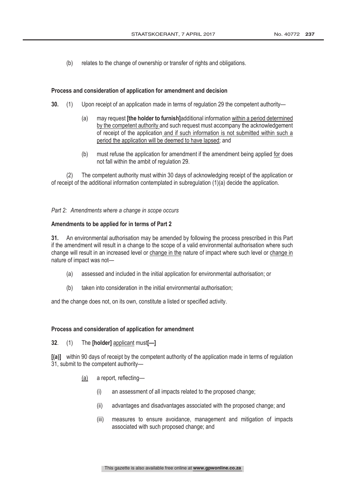(b) relates to the change of ownership or transfer of rights and obligations.

### Process and consideration of application for amendment and decision

- (1) Upon receipt of an application made in terms of regulation 29 the competent authority—
	- (a) may request *[the holder to furnish]additional information within a period determined* by the competent authority and such request must accompany the acknowledgement of receipt of the application and if such information is not submitted within such a period the application will be deemed to have lapsed; and
	- (b) must refuse the application for amendment if the amendment being applied for does not fall within the ambit of regulation 29.

(2) The competent authority must within 30 days of acknowledging receipt of the application or of receipt of the additional information contemplated in subregulation (1)(a) decide the application.

Part 2: Amendments where a change in scope occurs

#### Amendments to be applied for in terms of Part 2

31. An environmental authorisation may be amended by following the process prescribed in this Part if the amendment will result in a change to the scope of a valid environmental authorisation where such change will result in an increased level or change in the nature of impact where such level or change in nature of impact was not—

- (a) assessed and included in the initial application for environmental authorisation; or
- (b) taken into consideration in the initial environmental authorisation;

and the change does not, on its own, constitute a listed or specified activity.

#### Process and consideration of application for amendment

# 32.  $(1)$  The [holder] applicant must[-]

 within 90 days of receipt by the competent authority of the application made in terms of regulation 31, submit to the competent authority—

- (a) a report, reflecting-
	- (i) an assessment of all impacts related to the proposed change;
	- (ii) advantages and disadvantages associated with the proposed change; and
	- (iii) measures to ensure avoidance, management and mitigation of impacts associated with such proposed change; and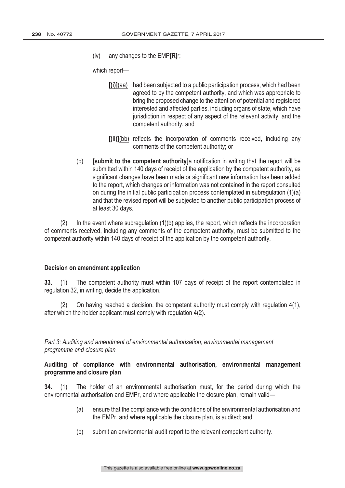(iv) any changes to the  $EMP[**R**]r;$ 

which report—

- $[(i)]$ (aa) had been subjected to a public participation process, which had been agreed to by the competent authority, and which was appropriate to bring the proposed change to the attention of potential and registered interested and affected parties, including organs of state, which have jurisdiction in respect of any aspect of the relevant activity, and the competent authority, and
- (bb) reflects the incorporation of comments received, including any comments of the competent authority; or
- (b) **[submit to the competent authority**] a notification in writing that the report will be submitted within 140 days of receipt of the application by the competent authority, as significant changes have been made or significant new information has been added to the report, which changes or information was not contained in the report consulted on during the initial public participation process contemplated in subregulation (1)(a) and that the revised report will be subjected to another public participation process of at least 30 days.

(2) In the event where subregulation (1)(b) applies, the report, which reflects the incorporation of comments received, including any comments of the competent authority, must be submitted to the competent authority within 140 days of receipt of the application by the competent authority.

# Decision on amendment application

 (1) The competent authority must within 107 days of receipt of the report contemplated in regulation 32, in writing, decide the application.

(2) On having reached a decision, the competent authority must comply with regulation 4(1), after which the holder applicant must comply with regulation 4(2).

Part 3: Auditing and amendment of environmental authorisation, environmental management programme and closure plan

Auditing of compliance with environmental authorisation, environmental management programme and closure plan

 (1) The holder of an environmental authorisation must, for the period during which the environmental authorisation and EMPr, and where applicable the closure plan, remain valid—

- (a) ensure that the compliance with the conditions of the environmental authorisation and the EMPr, and where applicable the closure plan, is audited; and
- (b) submit an environmental audit report to the relevant competent authority.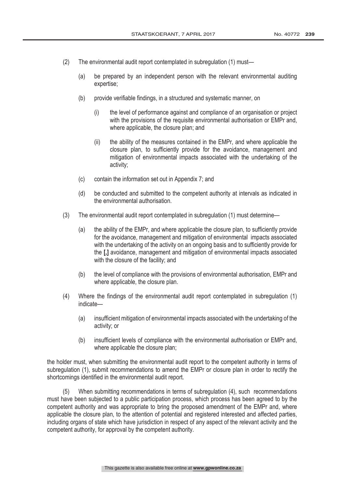- (2) The environmental audit report contemplated in subregulation (1) must—
	- (a) be prepared by an independent person with the relevant environmental auditing expertise;
	- (b) provide verifiable findings, in a structured and systematic manner, on
		- (i) the level of performance against and compliance of an organisation or project with the provisions of the requisite environmental authorisation or EMPr and, where applicable, the closure plan; and
		- (ii) the ability of the measures contained in the EMPr, and where applicable the closure plan, to sufficiently provide for the avoidance, management and mitigation of environmental impacts associated with the undertaking of the activity;
	- (c) contain the information set out in Appendix 7; and
	- (d) be conducted and submitted to the competent authority at intervals as indicated in the environmental authorisation.
- (3) The environmental audit report contemplated in subregulation (1) must determine—
	- (a) the ability of the EMPr, and where applicable the closure plan, to sufficiently provide for the avoidance, management and mitigation of environmental impacts associated with the undertaking of the activity on an ongoing basis and to sufficiently provide for the [,] avoidance, management and mitigation of environmental impacts associated with the closure of the facility; and
	- (b) the level of compliance with the provisions of environmental authorisation, EMPr and where applicable, the closure plan.
- (4) Where the findings of the environmental audit report contemplated in subregulation (1) indicate—
	- (a) insufficient mitigation of environmental impacts associated with the undertaking of the activity; or
	- (b) insufficient levels of compliance with the environmental authorisation or EMPr and, where applicable the closure plan:

the holder must, when submitting the environmental audit report to the competent authority in terms of subregulation (1), submit recommendations to amend the EMPr or closure plan in order to rectify the shortcomings identified in the environmental audit report.

(5) When submitting recommendations in terms of subregulation (4), such recommendations must have been subjected to a public participation process, which process has been agreed to by the competent authority and was appropriate to bring the proposed amendment of the EMPr and, where applicable the closure plan, to the attention of potential and registered interested and affected parties, including organs of state which have jurisdiction in respect of any aspect of the relevant activity and the competent authority, for approval by the competent authority.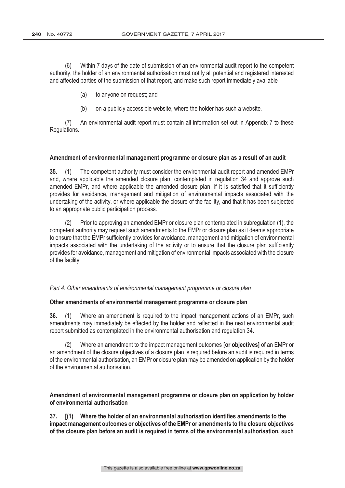(6) Within 7 days of the date of submission of an environmental audit report to the competent authority, the holder of an environmental authorisation must notify all potential and registered interested and affected parties of the submission of that report, and make such report immediately available—

- (a) to anyone on request; and
- (b) on a publicly accessible website, where the holder has such a website.

(7) An environmental audit report must contain all information set out in Appendix 7 to these Regulations.

#### Amendment of environmental management programme or closure plan as a result of an audit

 (1) The competent authority must consider the environmental audit report and amended EMPr and, where applicable the amended closure plan, contemplated in regulation 34 and approve such amended EMPr, and where applicable the amended closure plan, if it is satisfied that it sufficiently provides for avoidance, management and mitigation of environmental impacts associated with the undertaking of the activity, or where applicable the closure of the facility, and that it has been subjected to an appropriate public participation process.

(2) Prior to approving an amended EMPr or closure plan contemplated in subregulation (1), the competent authority may request such amendments to the EMPr or closure plan as it deems appropriate to ensure that the EMPr sufficiently provides for avoidance, management and mitigation of environmental impacts associated with the undertaking of the activity or to ensure that the closure plan sufficiently provides for avoidance, management and mitigation of environmental impacts associated with the closure of the facility.

Part 4: Other amendments of environmental management programme or closure plan

# Other amendments of environmental management programme or closure plan

 (1) Where an amendment is required to the impact management actions of an EMPr, such amendments may immediately be effected by the holder and reflected in the next environmental audit report submitted as contemplated in the environmental authorisation and regulation 34.

(2) Where an amendment to the impact management outcomes  $[or$  objectives $]$  of an EMPr or an amendment of the closure objectives of a closure plan is required before an audit is required in terms of the environmental authorisation, an EMPr or closure plan may be amended on application by the holder of the environmental authorisation.

Amendment of environmental management programme or closure plan on application by holder of environmental authorisation

37. I(1) Where the holder of an environmental authorisation identifies amendments to the impact management outcomes or objectives of the EMPr or amendments to the closure objectives of the closure plan before an audit is required in terms of the environmental authorisation, such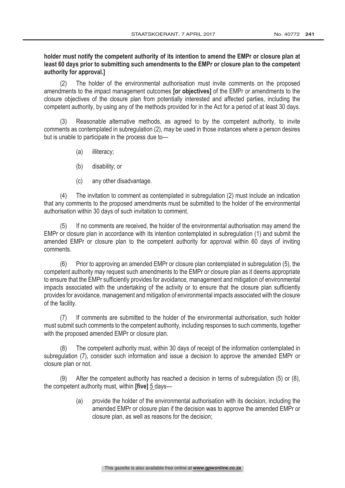# holder must notify the competent authority of its intention to amend the EMPr or closure plan at least 60 days prior to submitting such amendments to the EMPr or closure plan to the competent authority for approval.]

(2) The holder of the environmental authorisation must invite comments on the proposed amendments to the impact management outcomes **[or objectives]** of the EMPr or amendments to the closure objectives of the closure plan from potentially interested and affected parties, including the competent authority, by using any of the methods provided for in the Act for a period of at least 30 days.

(3) Reasonable alternative methods, as agreed to by the competent authority, to invite comments as contemplated in subregulation (2), may be used in those instances where a person desires but is unable to participate in the process due to—

- (a) illiteracy;
- (b) disability; or
- (c) any other disadvantage.

(4) The invitation to comment as contemplated in subregulation (2) must include an indication that any comments to the proposed amendments must be submitted to the holder of the environmental authorisation within 30 days of such invitation to comment.

(5) If no comments are received, the holder of the environmental authorisation may amend the EMPr or closure plan in accordance with its intention contemplated in subregulation (1) and submit the amended EMPr or closure plan to the competent authority for approval within 60 days of inviting comments.

(6) Prior to approving an amended EMPr or closure plan contemplated in subregulation (5), the competent authority may request such amendments to the EMPr or closure plan as it deems appropriate to ensure that the EMPr sufficiently provides for avoidance, management and mitigation of environmental impacts associated with the undertaking of the activity or to ensure that the closure plan sufficiently provides for avoidance, management and mitigation of environmental impacts associated with the closure of the facility.

(7) If comments are submitted to the holder of the environmental authorisation, such holder must submit such comments to the competent authority, including responses to such comments, together with the proposed amended EMPr or closure plan.

The competent authority must, within 30 days of receipt of the information contemplated in subregulation (7), consider such information and issue a decision to approve the amended EMPr or closure plan or not.

(9) After the competent authority has reached a decision in terms of subregulation (5) or (8), the competent authority must, within  $[five]$  5 days—

> (a) provide the holder of the environmental authorisation with its decision, including the amended EMPr or closure plan if the decision was to approve the amended EMPr or closure plan, as well as reasons for the decision;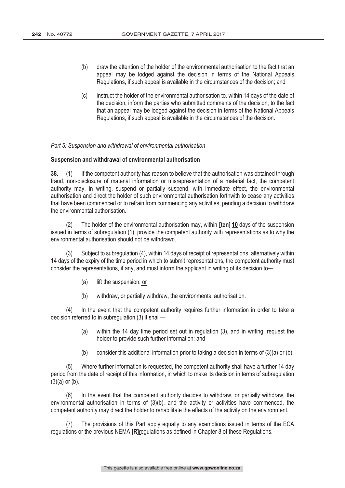- (b) draw the attention of the holder of the environmental authorisation to the fact that an appeal may be lodged against the decision in terms of the National Appeals Regulations, if such appeal is available in the circumstances of the decision; and
- (c) instruct the holder of the environmental authorisation to, within 14 days of the date of the decision, inform the parties who submitted comments of the decision, to the fact that an appeal may be lodged against the decision in terms of the National Appeals Regulations, if such appeal is available in the circumstances of the decision.

Part 5: Suspension and withdrawal of environmental authorisation

#### Suspension and withdrawal of environmental authorisation

38. (1) If the competent authority has reason to believe that the authorisation was obtained through fraud, non-disclosure of material information or misrepresentation of a material fact, the competent authority may, in writing, suspend or partially suspend, with immediate effect, the environmental authorisation and direct the holder of such environmental authorisation forthwith to cease any activities that have been commenced or to refrain from commencing any activities, pending a decision to withdraw the environmental authorisation.

(2) The holder of the environmental authorisation may, within  $[ten]$  10 days of the suspension issued in terms of subregulation (1), provide the competent authority with representations as to why the environmental authorisation should not be withdrawn.

(3) Subject to subregulation (4), within 14 days of receipt of representations, alternatively within 14 days of the expiry of the time period in which to submit representations, the competent authority must consider the representations, if any, and must inform the applicant in writing of its decision to—

- (a) lift the suspension; or
- (b) withdraw, or partially withdraw, the environmental authorisation.

(4) In the event that the competent authority requires further information in order to take a decision referred to in subregulation (3) it shall—

- (a) within the 14 day time period set out in regulation (3), and in writing, request the holder to provide such further information; and
- (b) consider this additional information prior to taking a decision in terms of (3)(a) or (b).

(5) Where further information is requested, the competent authority shall have a further 14 day period from the date of receipt of this information, in which to make its decision in terms of subregulation  $(3)(a)$  or  $(b)$ .

(6) In the event that the competent authority decides to withdraw, or partially withdraw, the environmental authorisation in terms of (3)(b), and the activity or activities have commenced, the competent authority may direct the holder to rehabilitate the effects of the activity on the environment.

The provisions of this Part apply equally to any exemptions issued in terms of the ECA regulations or the previous NEMA  $[RI]$ regulations as defined in Chapter 8 of these Regulations.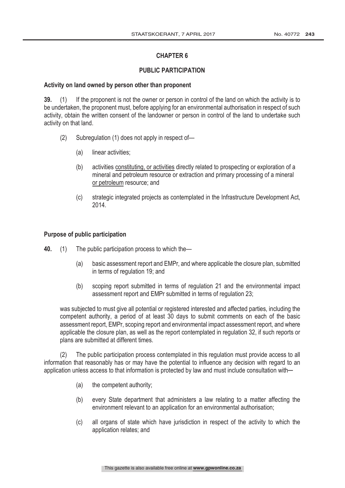# PUBLIC PARTICIPATION

# Activity on land owned by person other than proponent

39. (1) If the proponent is not the owner or person in control of the land on which the activity is to be undertaken, the proponent must, before applying for an environmental authorisation in respect of such activity, obtain the written consent of the landowner or person in control of the land to undertake such activity on that land.

- (2) Subregulation (1) does not apply in respect of—
	- (a) linear activities;
	- (b) activities constituting, or activities directly related to prospecting or exploration of a mineral and petroleum resource or extraction and primary processing of a mineral or petroleum resource; and
	- (c) strategic integrated projects as contemplated in the Infrastructure Development Act, 2014.

# Purpose of public participation

- 40. (1) The public participation process to which the—
	- (a) basic assessment report and EMPr, and where applicable the closure plan, submitted in terms of regulation 19; and
	- (b) scoping report submitted in terms of regulation 21 and the environmental impact assessment report and EMPr submitted in terms of regulation 23;

was subjected to must give all potential or registered interested and affected parties, including the competent authority, a period of at least 30 days to submit comments on each of the basic assessment report, EMPr, scoping report and environmental impact assessment report, and where applicable the closure plan, as well as the report contemplated in regulation 32, if such reports or plans are submitted at different times.

(2) The public participation process contemplated in this regulation must provide access to all information that reasonably has or may have the potential to influence any decision with regard to an application unless access to that information is protected by law and must include consultation with—

- (a) the competent authority;
- (b) every State department that administers a law relating to a matter affecting the environment relevant to an application for an environmental authorisation;
- (c) all organs of state which have jurisdiction in respect of the activity to which the application relates; and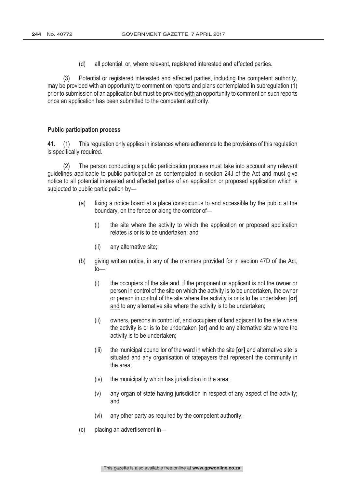(d) all potential, or, where relevant, registered interested and affected parties.

(3) Potential or registered interested and affected parties, including the competent authority, may be provided with an opportunity to comment on reports and plans contemplated in subregulation (1) prior to submission of an application but must be provided with an opportunity to comment on such reports once an application has been submitted to the competent authority.

#### **Public participation process**

 (1) This regulation only applies in instances where adherence to the provisions of this regulation is specifically required.

(2) The person conducting a public participation process must take into account any relevant guidelines applicable to public participation as contemplated in section 24J of the Act and must give notice to all potential interested and affected parties of an application or proposed application which is subjected to public participation by—

- (a) fixing a notice board at a place conspicuous to and accessible by the public at the boundary, on the fence or along the corridor of—
	- (i) the site where the activity to which the application or proposed application relates is or is to be undertaken; and
	- (ii) any alternative site;
- (b) giving written notice, in any of the manners provided for in section 47D of the Act, to—
	- (i) the occupiers of the site and, if the proponent or applicant is not the owner or person in control of the site on which the activity is to be undertaken, the owner or person in control of the site where the activity is or is to be undertaken [or] and to any alternative site where the activity is to be undertaken;
	- (ii) owners, persons in control of, and occupiers of land adjacent to the site where the activity is or is to be undertaken  $\lceil \text{or} \rceil$  and to any alternative site where the activity is to be undertaken;
	- (iii) the municipal councillor of the ward in which the site  $\lceil or \rceil$  and alternative site is situated and any organisation of ratepayers that represent the community in the area;
	- (iv) the municipality which has jurisdiction in the area;
	- (v) any organ of state having jurisdiction in respect of any aspect of the activity; and
	- (vi) any other party as required by the competent authority;
- (c) placing an advertisement in—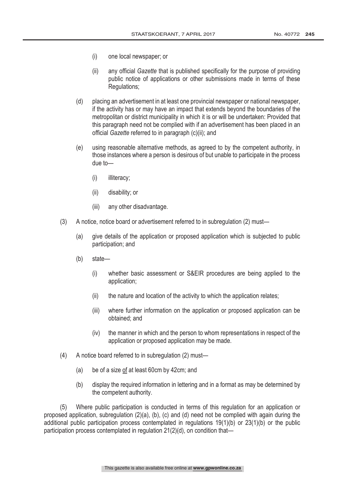- (i) one local newspaper; or
- (ii) any official Gazette that is published specifically for the purpose of providing public notice of applications or other submissions made in terms of these Regulations;
- (d) placing an advertisement in at least one provincial newspaper or national newspaper, if the activity has or may have an impact that extends beyond the boundaries of the metropolitan or district municipality in which it is or will be undertaken: Provided that this paragraph need not be complied with if an advertisement has been placed in an official Gazette referred to in paragraph (c)(ii); and
- (e) using reasonable alternative methods, as agreed to by the competent authority, in those instances where a person is desirous of but unable to participate in the process due to—
	- (i) illiteracy;
	- (ii) disability; or
	- (iii) any other disadvantage.
- (3) A notice, notice board or advertisement referred to in subregulation (2) must—
	- (a) give details of the application or proposed application which is subjected to public participation; and
	- (b) state—
		- (i) whether basic assessment or S&EIR procedures are being applied to the application;
		- (ii) the nature and location of the activity to which the application relates;
		- (iii) where further information on the application or proposed application can be obtained; and
		- (iv) the manner in which and the person to whom representations in respect of the application or proposed application may be made.
- (4) A notice board referred to in subregulation (2) must—
	- (a) be of a size of at least 60cm by 42cm; and
	- (b) display the required information in lettering and in a format as may be determined by the competent authority.

(5) Where public participation is conducted in terms of this regulation for an application or proposed application, subregulation (2)(a), (b), (c) and (d) need not be complied with again during the additional public participation process contemplated in regulations 19(1)(b) or 23(1)(b) or the public participation process contemplated in regulation 21(2)(d), on condition that—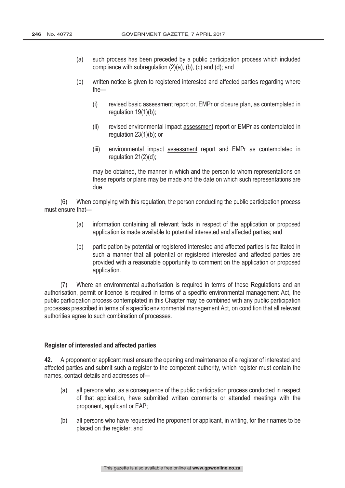- (a) such process has been preceded by a public participation process which included compliance with subregulation (2)(a), (b), (c) and (d); and
- (b) written notice is given to registered interested and affected parties regarding where the—
	- (i) revised basic assessment report or, EMPr or closure plan, as contemplated in regulation 19(1)(b);
	- (ii) revised environmental impact assessment report or EMPr as contemplated in regulation 23(1)(b); or
	- (iii) environmental impact assessment report and EMPr as contemplated in regulation 21(2)(d);

may be obtained, the manner in which and the person to whom representations on these reports or plans may be made and the date on which such representations are due.

(6) When complying with this regulation, the person conducting the public participation process must ensure that—

- (a) information containing all relevant facts in respect of the application or proposed application is made available to potential interested and affected parties; and
- (b) participation by potential or registered interested and affected parties is facilitated in such a manner that all potential or registered interested and affected parties are provided with a reasonable opportunity to comment on the application or proposed application.

(7) Where an environmental authorisation is required in terms of these Regulations and an authorisation, permit or licence is required in terms of a specific environmental management Act, the public participation process contemplated in this Chapter may be combined with any public participation processes prescribed in terms of a specific environmental management Act, on condition that all relevant authorities agree to such combination of processes.

# Register of interested and affected parties

42. A proponent or applicant must ensure the opening and maintenance of a register of interested and affected parties and submit such a register to the competent authority, which register must contain the names, contact details and addresses of—

- (a) all persons who, as a consequence of the public participation process conducted in respect of that application, have submitted written comments or attended meetings with the proponent, applicant or EAP;
- (b) all persons who have requested the proponent or applicant, in writing, for their names to be placed on the register; and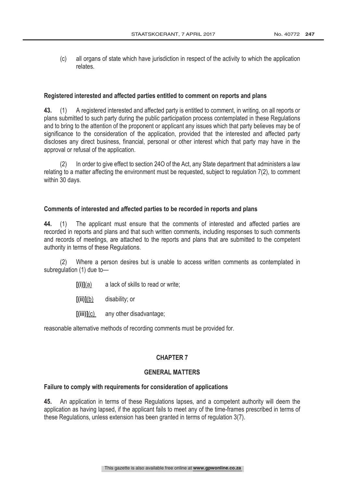(c) all organs of state which have jurisdiction in respect of the activity to which the application relates.

# Registered interested and affected parties entitled to comment on reports and plans

43. (1) A registered interested and affected party is entitled to comment, in writing, on all reports or plans submitted to such party during the public participation process contemplated in these Regulations and to bring to the attention of the proponent or applicant any issues which that party believes may be of significance to the consideration of the application, provided that the interested and affected party discloses any direct business, financial, personal or other interest which that party may have in the approval or refusal of the application.

(2) In order to give effect to section 24O of the Act, any State department that administers a law relating to a matter affecting the environment must be requested, subject to regulation 7(2), to comment within 30 days.

# Comments of interested and affected parties to be recorded in reports and plans

44. (1) The applicant must ensure that the comments of interested and affected parties are recorded in reports and plans and that such written comments, including responses to such comments and records of meetings, are attached to the reports and plans that are submitted to the competent authority in terms of these Regulations.

(2) Where a person desires but is unable to access written comments as contemplated in subregulation (1) due to—

- $[(i)](a)$  a lack of skills to read or write;
- $[(ii)](b)$  disability; or
- $[(iii)](c)$  any other disadvantage;

reasonable alternative methods of recording comments must be provided for.

# **CHAPTER 7**

# **GENERAL MATTERS**

# Failure to comply with requirements for consideration of applications

 An application in terms of these Regulations lapses, and a competent authority will deem the application as having lapsed, if the applicant fails to meet any of the time-frames prescribed in terms of these Regulations, unless extension has been granted in terms of regulation 3(7).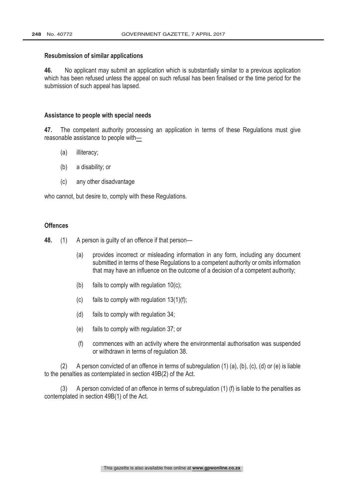#### **Resubmission of similar applications**

46. No applicant may submit an application which is substantially similar to a previous application which has been refused unless the appeal on such refusal has been finalised or the time period for the submission of such appeal has lapsed.

#### Assistance to people with special needs

47. The competent authority processing an application in terms of these Regulations must give reasonable assistance to people with—

- (a) illiteracy;
- (b) a disability; or
- (c) any other disadvantage

who cannot, but desire to, comply with these Regulations.

# **Offences**

48. (1) A person is guilty of an offence if that person—

- (a) provides incorrect or misleading information in any form, including any document submitted in terms of these Regulations to a competent authority or omits information that may have an influence on the outcome of a decision of a competent authority;
- (b) fails to comply with regulation 10(c);
- (c) fails to comply with regulation  $13(1)(f)$ ;
- (d) fails to comply with regulation 34;
- (e) fails to comply with regulation 37; or
- (f) commences with an activity where the environmental authorisation was suspended or withdrawn in terms of regulation 38.

 (2) A person convicted of an offence in terms of subregulation (1) (a), (b), (c), (d) or (e) is liable to the penalties as contemplated in section 49B(2) of the Act.

(3) A person convicted of an offence in terms of subregulation (1) (f) is liable to the penalties as contemplated in section 49B(1) of the Act.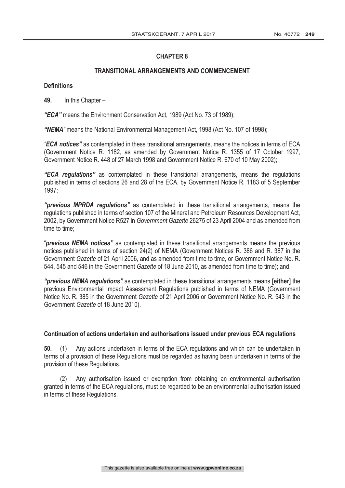# **TRANSITIONAL ARRANGEMENTS AND COMMENCEMENT**

# **Definitions**

49. In this Chapter  $-$ 

"ECA" means the Environment Conservation Act, 1989 (Act No. 73 of 1989);

"NEMA" means the National Environmental Management Act, 1998 (Act No. 107 of 1998);

**"ECA notices"** as contemplated in these transitional arrangements, means the notices in terms of ECA (Government Notice R. 1182, as amended by Government Notice R. 1355 of 17 October 1997, Government Notice R. 448 of 27 March 1998 and Government Notice R. 670 of 10 May 2002);

*"ECA requiations"* as contemplated in these transitional arrangements, means the requiations published in terms of sections 26 and 28 of the ECA, by Government Notice R. 1183 of 5 September 1997;

"previous MPRDA regulations" as contemplated in these transitional arrangements, means the regulations published in terms of section 107 of the Mineral and Petroleum Resources Development Act, 2002, by Government Notice R527 in Government Gazette 26275 of 23 April 2004 and as amended from time to time;

"**previous NEMA notices**" as contemplated in these transitional arrangements means the previous notices published in terms of section 24(2) of NEMA (Government Notices R. 386 and R. 387 in the Government Gazette of 21 April 2006, and as amended from time to time, or Government Notice No. R. 544, 545 and 546 in the Government Gazette of 18 June 2010, as amended from time to time); and

"previous NEMA regulations" as contemplated in these transitional arrangements means [either] the previous Environmental Impact Assessment Regulations published in terms of NEMA (Government Notice No. R. 385 in the Government Gazette of 21 April 2006 or Government Notice No. R. 543 in the Government Gazette of 18 June 2010).

# Continuation of actions undertaken and authorisations issued under previous ECA regulations

50. (1) Any actions undertaken in terms of the ECA regulations and which can be undertaken in terms of a provision of these Regulations must be regarded as having been undertaken in terms of the provision of these Regulations.

(2) Any authorisation issued or exemption from obtaining an environmental authorisation granted in terms of the ECA regulations, must be regarded to be an environmental authorisation issued in terms of these Regulations.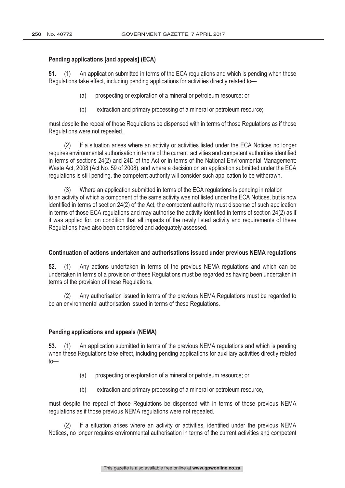## Pending applications [and appeals] (ECA)

51. (1) An application submitted in terms of the ECA regulations and which is pending when these Regulations take effect, including pending applications for activities directly related to—

- (a) prospecting or exploration of a mineral or petroleum resource; or
- (b)extraction and primary processing of a mineral or petroleum resource;

must despite the repeal of those Regulations be dispensed with in terms of those Regulations as if those Regulations were not repealed.

(2) If a situation arises where an activity or activities listed under the ECA Notices no longer requires environmental authorisation in terms of the current activities and competent authorities identified in terms of sections 24(2) and 24D of the Act or in terms of the National Environmental Management: Waste Act, 2008 (Act No. 59 of 2008), and where a decision on an application submitted under the ECA regulations is still pending, the competent authority will consider such application to be withdrawn.

(3) Where an application submitted in terms of the ECA regulations is pending in relation to an activity of which a component of the same activity was not listed under the ECA Notices, but is now identified in terms of section 24(2) of the Act, the competent authority must dispense of such application in terms of those ECA regulations and may authorise the activity identified in terms of section 24(2) as if it was applied for, on condition that all impacts of the newly listed activity and requirements of these Regulations have also been considered and adequately assessed.

#### Continuation of actions undertaken and authorisations issued under previous NEMA regulations

 (1) Any actions undertaken in terms of the previous NEMA regulations and which can be undertaken in terms of a provision of these Regulations must be regarded as having been undertaken in terms of the provision of these Regulations.

(2) Any authorisation issued in terms of the previous NEMA Regulations must be regarded to be an environmental authorisation issued in terms of these Regulations.

#### Pending applications and appeals (NEMA)

53. (1) An application submitted in terms of the previous NEMA regulations and which is pending when these Regulations take effect, including pending applications for auxiliary activities directly related to—

- (a) prospecting or exploration of a mineral or petroleum resource; or
- (b)extraction and primary processing of a mineral or petroleum resource,

must despite the repeal of those Regulations be dispensed with in terms of those previous NEMA regulations as if those previous NEMA regulations were not repealed.

If a situation arises where an activity or activities, identified under the previous NEMA Notices, no longer requires environmental authorisation in terms of the current activities and competent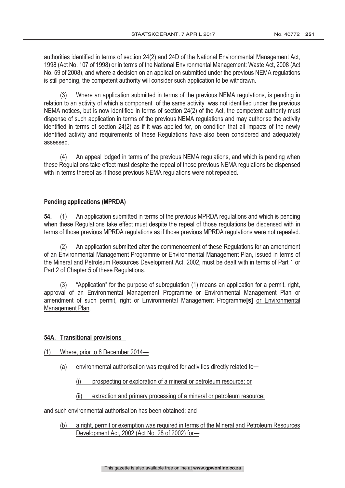authorities identified in terms of section 24(2) and 24D of the National Environmental Management Act, 1998 (Act No. 107 of 1998) or in terms of the National Environmental Management: Waste Act, 2008 (Act No. 59 of 2008), and where a decision on an application submitted under the previous NEMA regulations is still pending, the competent authority will consider such application to be withdrawn.

(3) Where an application submitted in terms of the previous NEMA regulations, is pending in relation to an activity of which a component of the same activity was not identified under the previous NEMA notices, but is now identified in terms of section 24(2) of the Act, the competent authority must dispense of such application in terms of the previous NEMA regulations and may authorise the activity identified in terms of section 24(2) as if it was applied for, on condition that all impacts of the newly identified activity and requirements of these Regulations have also been considered and adequately assessed.

(4) An appeal lodged in terms of the previous NEMA regulations, and which is pending when these Regulations take effect must despite the repeal of those previous NEMA regulations be dispensed with in terms thereof as if those previous NEMA regulations were not repealed.

# **Pending applications (MPRDA)**

54. (1) An application submitted in terms of the previous MPRDA regulations and which is pending when these Regulations take effect must despite the repeal of those regulations be dispensed with in terms of those previous MPRDA regulations as if those previous MPRDA regulations were not repealed.

(2) An application submitted after the commencement of these Regulations for an amendment of an Environmental Management Programme or Environmental Management Plan, issued in terms of the Mineral and Petroleum Resources Development Act, 2002, must be dealt with in terms of Part 1 or Part 2 of Chapter 5 of these Regulations.

(3) "Application" for the purpose of subregulation (1) means an application for a permit, right, approval of an Environmental Management Programme or Environmental Management Plan or amendment of such permit, right or Environmental Management Programme<sup>[5]</sup> or Environmental Management Plan.

# **54A.** Transitional provisions

- (1) Where, prior to 8 December 2014—
	- (a) environmental authorisation was required for activities directly related to-
		- (i) prospecting or exploration of a mineral or petroleum resource; or
		- (ii) extraction and primary processing of a mineral or petroleum resource;

and such environmental authorisation has been obtained; and

(b) a right, permit or exemption was required in terms of the Mineral and Petroleum Resources Development Act, 2002 (Act No. 28 of 2002) for—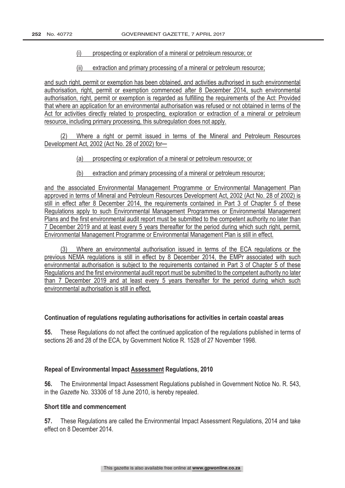### (i) prospecting or exploration of a mineral or petroleum resource; or

(ii) extraction and primary processing of a mineral or petroleum resource;

and such right, permit or exemption has been obtained, and activities authorised in such environmental authorisation, right, permit or exemption commenced after 8 December 2014, such environmental authorisation, right, permit or exemption is regarded as fulfilling the requirements of the Act: Provided that where an application for an environmental authorisation was refused or not obtained in terms of the Act for activities directly related to prospecting, exploration or extraction of a mineral or petroleum resource, including primary processing, this subregulation does not apply.

(2) Where a right or permit issued in terms of the Mineral and Petroleum Resources Development Act, 2002 (Act No. 28 of 2002) for-

- (a) prospecting or exploration of a mineral or petroleum resource; or
- (b) extraction and primary processing of a mineral or petroleum resource;

and the associated Environmental Management Programme or Environmental Management Plan approved in terms of Mineral and Petroleum Resources Development Act, 2002 (Act No. 28 of 2002) is still in effect after 8 December 2014, the requirements contained in Part 3 of Chapter 5 of these Regulations apply to such Environmental Management Programmes or Environmental Management Plans and the first environmental audit report must be submitted to the competent authority no later than 7 December 2019 and at least every 5 years thereafter for the period during which such right, permit, Environmental Management Programme or Environmental Management Plan is still in effect.

(3) Where an environmental authorisation issued in terms of the ECA regulations or the previous NEMA regulations is still in effect by 8 December 2014, the EMPr associated with such environmental authorisation is subject to the requirements contained in Part 3 of Chapter 5 of these Regulations and the first environmental audit report must be submitted to the competent authority no later than 7 December 2019 and at least every 5 years thereafter for the period during which such environmental authorisation is still in effect.

#### Continuation of regulations regulating authorisations for activities in certain coastal areas

55. These Regulations do not affect the continued application of the regulations published in terms of sections 26 and 28 of the ECA, by Government Notice R. 1528 of 27 November 1998.

#### **Repeal of Environmental Impact Assessment Regulations, 2010**

 The Environmental Impact Assessment Regulations published in Government Notice No. R. 543, in the Gazette No. 33306 of 18 June 2010, is hereby repealed.

## Short title and commencement

57. These Regulations are called the Environmental Impact Assessment Regulations, 2014 and take effect on 8 December 2014.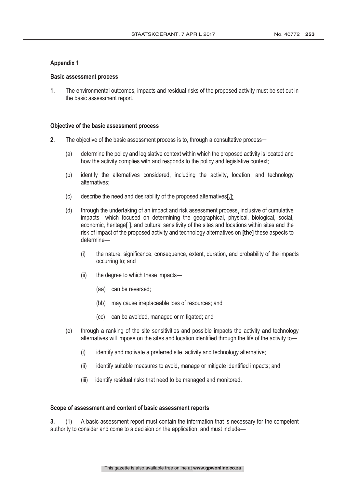#### **Appendix 1**

#### **Basic assessment process**

 The environmental outcomes, impacts and residual risks of the proposed activity must be set out in the basic assessment report.

#### Objective of the basic assessment process

- 2. The objective of the basic assessment process is to, through a consultative process—
	- (a) determine the policy and legislative context within which the proposed activity is located and how the activity complies with and responds to the policy and legislative context;
	- (b) identify the alternatives considered, including the activity, location, and technology alternatives;
	- $(c)$  describe the need and desirability of the proposed alternatives.
	- (d) through the undertaking of an impact and risk assessment process, inclusive of cumulative impacts which focused on determining the geographical, physical, biological, social, economic, heritage[], and cultural sensitivity of the sites and locations within sites and the risk of impact of the proposed activity and technology alternatives on **[the]** these aspects to determine—
		- (i) the nature, significance, consequence, extent, duration, and probability of the impacts occurring to; and
		- (ii) the degree to which these impacts—
			- (aa) can be reversed;
			- (bb) may cause irreplaceable loss of resources; and
			- (cc) can be avoided, managed or mitigated; and
	- (e) through a ranking of the site sensitivities and possible impacts the activity and technology alternatives will impose on the sites and location identified through the life of the activity to—
		- (i) identify and motivate a preferred site, activity and technology alternative;
		- (ii) identify suitable measures to avoid, manage or mitigate identified impacts; and
		- (iii) identify residual risks that need to be managed and monitored.

#### Scope of assessment and content of basic assessment reports

 (1) A basic assessment report must contain the information that is necessary for the competent authority to consider and come to a decision on the application, and must include—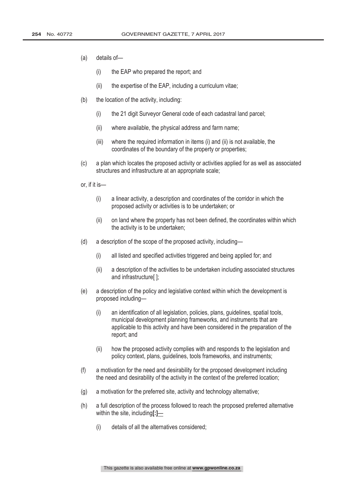- (a) details of—
	- (i) the EAP who prepared the report; and
	- (ii) the expertise of the EAP, including a curriculum vitae;
- (b) the location of the activity, including:
	- (i) the 21 digit Surveyor General code of each cadastral land parcel;
	- (ii) where available, the physical address and farm name;
	- (iii) where the required information in items (i) and (ii) is not available, the coordinates of the boundary of the property or properties;
- (c) a plan which locates the proposed activity or activities applied for as well as associated structures and infrastructure at an appropriate scale;

or, if it is—

- (i) a linear activity, a description and coordinates of the corridor in which the proposed activity or activities is to be undertaken; or
- (ii) on land where the property has not been defined, the coordinates within which the activity is to be undertaken;
- (d) a description of the scope of the proposed activity, including—
	- (i) all listed and specified activities triggered and being applied for; and
	- (ii) a description of the activities to be undertaken including associated structures and infrastructure[ ];
- (e) a description of the policy and legislative context within which the development is proposed including—
	- (i) an identification of all legislation, policies, plans, guidelines, spatial tools, municipal development planning frameworks, and instruments that are applicable to this activity and have been considered in the preparation of the report; and
	- (ii) how the proposed activity complies with and responds to the legislation and policy context, plans, guidelines, tools frameworks, and instruments;
- (f) a motivation for the need and desirability for the proposed development including the need and desirability of the activity in the context of the preferred location;
- (g) a motivation for the preferred site, activity and technology alternative;
- (h) a full description of the process followed to reach the proposed preferred alternative within the site, including $[]$ —
	- (i) details of all the alternatives considered;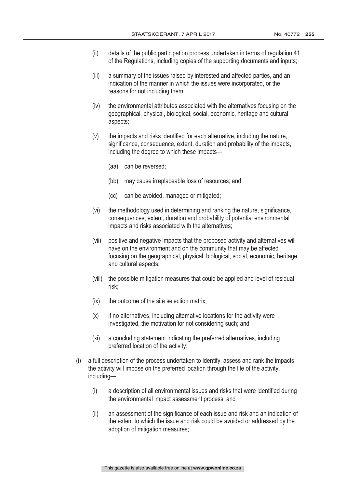- (ii) details of the public participation process undertaken in terms of regulation 41 of the Regulations, including copies of the supporting documents and inputs;
- (iii) a summary of the issues raised by interested and affected parties, and an indication of the manner in which the issues were incorporated, or the reasons for not including them;
- (iv) the environmental attributes associated with the alternatives focusing on the geographical, physical, biological, social, economic, heritage and cultural aspects;
- (v) the impacts and risks identified for each alternative, including the nature, significance, consequence, extent, duration and probability of the impacts, including the degree to which these impacts—
	- (aa) can be reversed;
	- (bb) may cause irreplaceable loss of resources; and
	- (cc) can be avoided, managed or mitigated;
- (vi) the methodology used in determining and ranking the nature, significance, consequences, extent, duration and probability of potential environmental impacts and risks associated with the alternatives;
- (vii) positive and negative impacts that the proposed activity and alternatives will have on the environment and on the community that may be affected focusing on the geographical, physical, biological, social, economic, heritage and cultural aspects;
- (viii) the possible mitigation measures that could be applied and level of residual risk;
- (ix) the outcome of the site selection matrix;
- $(x)$  if no alternatives, including alternative locations for the activity were investigated, the motivation for not considering such; and
- (xi) a concluding statement indicating the preferred alternatives, including preferred location of the activity;
- (i) a full description of the process undertaken to identify, assess and rank the impacts the activity will impose on the preferred location through the life of the activity, including—
	- (i) a description of all environmental issues and risks that were identified during the environmental impact assessment process; and
	- (ii) an assessment of the significance of each issue and risk and an indication of the extent to which the issue and risk could be avoided or addressed by the adoption of mitigation measures;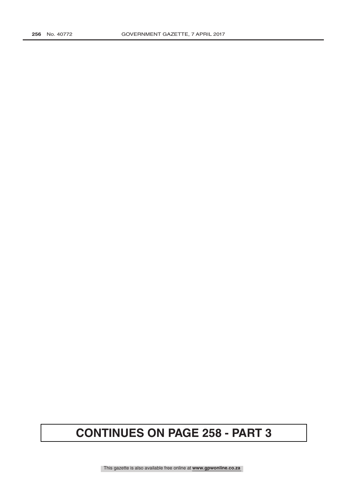# **CONTINUES ON PAGE 258 - PART 3**

This gazette is also available free online at **www.gpwonline.co.za**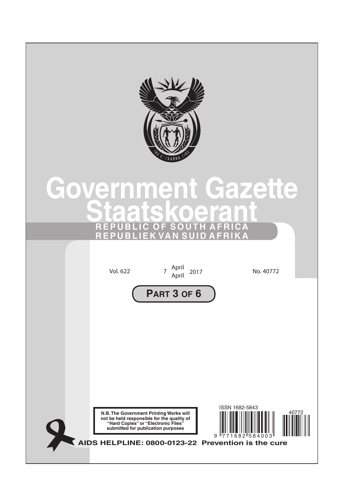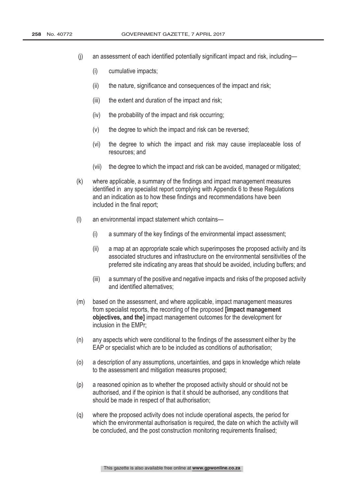- (j) an assessment of each identified potentially significant impact and risk, including—
	- (i) cumulative impacts;
	- (ii) the nature, significance and consequences of the impact and risk;
	- (iii) the extent and duration of the impact and risk;
	- (iv) the probability of the impact and risk occurring;
	- (v) the degree to which the impact and risk can be reversed;
	- (vi) the degree to which the impact and risk may cause irreplaceable loss of resources; and
	- (vii) the degree to which the impact and risk can be avoided, managed or mitigated;
- (k) where applicable, a summary of the findings and impact management measures identified in any specialist report complying with Appendix 6 to these Regulations and an indication as to how these findings and recommendations have been included in the final report;
- (l) an environmental impact statement which contains—
	- (i) a summary of the key findings of the environmental impact assessment;
	- (ii) a map at an appropriate scale which superimposes the proposed activity and its associated structures and infrastructure on the environmental sensitivities of the preferred site indicating any areas that should be avoided, including buffers; and
	- (iii) a summary of the positive and negative impacts and risks of the proposed activity and identified alternatives;
- (m) based on the assessment, and where applicable, impact management measures from specialist reports, the recording of the proposed **[impact management**] objectives, and the] impact management outcomes for the development for inclusion in the EMPr;
- (n) any aspects which were conditional to the findings of the assessment either by the EAP or specialist which are to be included as conditions of authorisation;
- (o) a description of any assumptions, uncertainties, and gaps in knowledge which relate to the assessment and mitigation measures proposed;
- (p) a reasoned opinion as to whether the proposed activity should or should not be authorised, and if the opinion is that it should be authorised, any conditions that should be made in respect of that authorisation;
- (q) where the proposed activity does not include operational aspects, the period for which the environmental authorisation is required, the date on which the activity will be concluded, and the post construction monitoring requirements finalised;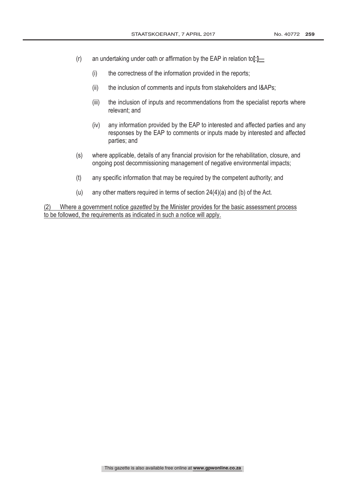- (r) an undertaking under oath or affirmation by the EAP in relation to[ $:$ ]  $\equiv$ 
	- (i) the correctness of the information provided in the reports;
	- (ii) the inclusion of comments and inputs from stakeholders and I&APs;
	- (iii) the inclusion of inputs and recommendations from the specialist reports where relevant; and
	- (iv) any information provided by the EAP to interested and affected parties and any responses by the EAP to comments or inputs made by interested and affected parties; and
- (s) where applicable, details of any financial provision for the rehabilitation, closure, and ongoing post decommissioning management of negative environmental impacts;
- (t) any specific information that may be required by the competent authority; and
- (u) any other matters required in terms of section 24(4)(a) and (b) of the Act.

(2) Where a government notice gazetted by the Minister provides for the basic assessment process to be followed, the requirements as indicated in such a notice will apply.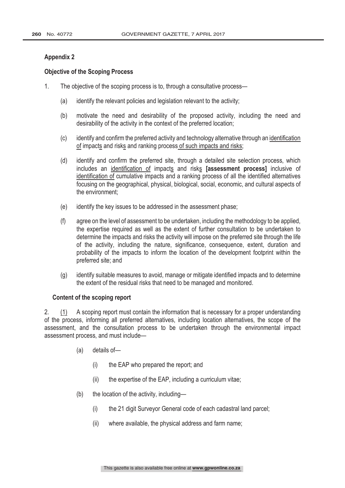# **Appendix 2**

# **Objective of the Scoping Process**

- 1. The objective of the scoping process is to, through a consultative process—
	- (a) identify the relevant policies and legislation relevant to the activity;
	- (b) motivate the need and desirability of the proposed activity, including the need and desirability of the activity in the context of the preferred location;
	- (c) identify and confirm the preferred activity and technology alternative through an identification of impacts and risks and ranking process of such impacts and risks;
	- (d) identify and confirm the preferred site, through a detailed site selection process, which includes an identification of impacts and risks **[assessment process]** inclusive of identification of cumulative impacts and a ranking process of all the identified alternatives focusing on the geographical, physical, biological, social, economic, and cultural aspects of the environment;
	- (e) identify the key issues to be addressed in the assessment phase;
	- (f) agree on the level of assessment to be undertaken, including the methodology to be applied, the expertise required as well as the extent of further consultation to be undertaken to determine the impacts and risks the activity will impose on the preferred site through the life of the activity, including the nature, significance, consequence, extent, duration and probability of the impacts to inform the location of the development footprint within the preferred site; and
	- (g) identify suitable measures to avoid, manage or mitigate identified impacts and to determine the extent of the residual risks that need to be managed and monitored.

#### Content of the scoping report

2. (1) A scoping report must contain the information that is necessary for a proper understanding of the process, informing all preferred alternatives, including location alternatives, the scope of the assessment, and the consultation process to be undertaken through the environmental impact assessment process, and must include—

- (a) details of—
	- (i) the EAP who prepared the report; and
	- (ii) the expertise of the EAP, including a curriculum vitae;
- (b) the location of the activity, including—
	- (i) the 21 digit Surveyor General code of each cadastral land parcel;
	- (ii) where available, the physical address and farm name;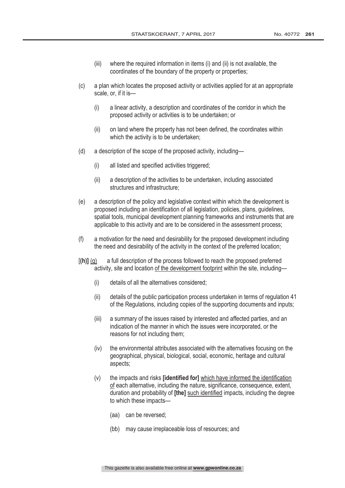- (iii) where the required information in items (i) and (ii) is not available, the coordinates of the boundary of the property or properties;
- (c) a plan which locates the proposed activity or activities applied for at an appropriate scale, or, if it is—
	- (i) a linear activity, a description and coordinates of the corridor in which the proposed activity or activities is to be undertaken; or
	- (ii) on land where the property has not been defined, the coordinates within which the activity is to be undertaken:
- (d) a description of the scope of the proposed activity, including—
	- (i) all listed and specified activities triggered;
	- (ii) a description of the activities to be undertaken, including associated structures and infrastructure;
- (e) a description of the policy and legislative context within which the development is proposed including an identification of all legislation, policies, plans, guidelines, spatial tools, municipal development planning frameworks and instruments that are applicable to this activity and are to be considered in the assessment process;
- (f) a motivation for the need and desirability for the proposed development including the need and desirability of the activity in the context of the preferred location;
- $[(h)]$  (g) a full description of the process followed to reach the proposed preferred activity, site and location of the development footprint within the site, including—
	- (i) details of all the alternatives considered;
	- (ii) details of the public participation process undertaken in terms of regulation 41 of the Regulations, including copies of the supporting documents and inputs;
	- (iii) a summary of the issues raised by interested and affected parties, and an indication of the manner in which the issues were incorporated, or the reasons for not including them;
	- (iv) the environmental attributes associated with the alternatives focusing on the geographical, physical, biological, social, economic, heritage and cultural aspects;
	- $(v)$  the impacts and risks **[identified for]** which have informed the identification of each alternative, including the nature, significance, consequence, extent, duration and probability of **[the]** such identified impacts, including the degree to which these impacts—
		- (aa) can be reversed;
		- (bb) may cause irreplaceable loss of resources; and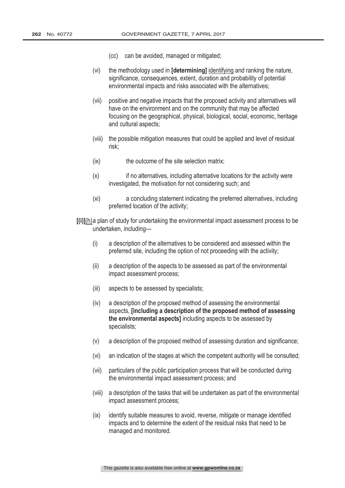- (cc) can be avoided, managed or mitigated;
- $(vi)$  the methodology used in **[determining]** identifying and ranking the nature, significance, consequences, extent, duration and probability of potential environmental impacts and risks associated with the alternatives;
- (vii) positive and negative impacts that the proposed activity and alternatives will have on the environment and on the community that may be affected focusing on the geographical, physical, biological, social, economic, heritage and cultural aspects;
- (viii) the possible mitigation measures that could be applied and level of residual risk;
- (ix) the outcome of the site selection matrix;
- (x) if no alternatives, including alternative locations for the activity were investigated, the motivation for not considering such; and
- (xi) a concluding statement indicating the preferred alternatives, including preferred location of the activity;
- $\lceil$ (i) $\rceil$ (h) a plan of study for undertaking the environmental impact assessment process to be undertaken, including—
	- (i) a description of the alternatives to be considered and assessed within the preferred site, including the option of not proceeding with the activity;
	- (ii) a description of the aspects to be assessed as part of the environmental impact assessment process;
	- (iii) aspects to be assessed by specialists;
	- (iv) a description of the proposed method of assessing the environmental aspects, lincluding a description of the proposed method of assessing the environmental aspects] including aspects to be assessed by specialists;
	- (v) a description of the proposed method of assessing duration and significance;
	- (vi) an indication of the stages at which the competent authority will be consulted;
	- (vii) particulars of the public participation process that will be conducted during the environmental impact assessment process; and
	- (viii) a description of the tasks that will be undertaken as part of the environmental impact assessment process;
	- (ix) identify suitable measures to avoid, reverse, mitigate or manage identified impacts and to determine the extent of the residual risks that need to be managed and monitored.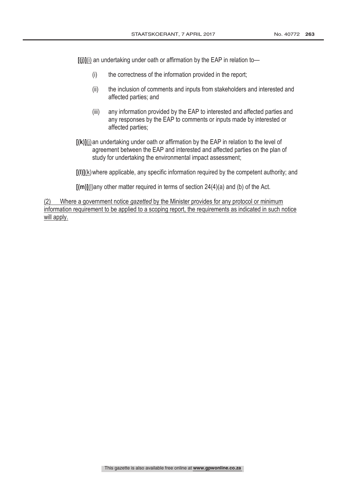$[(j)]$ (i) an undertaking under oath or affirmation by the EAP in relation to-

- (i) the correctness of the information provided in the report;
- (ii) the inclusion of comments and inputs from stakeholders and interested and affected parties; and
- (iii) any information provided by the EAP to interested and affected parties and any responses by the EAP to comments or inputs made by interested or affected parties;
- $[(k)]$ (i) an undertaking under oath or affirmation by the EAP in relation to the level of agreement between the EAP and interested and affected parties on the plan of study for undertaking the environmental impact assessment;

 $[(1)](k)$  where applicable, any specific information required by the competent authority; and

 $\lceil (m) \rceil$ (I)any other matter required in terms of section 24(4)(a) and (b) of the Act.

(2) Where a government notice *qazetted* by the Minister provides for any protocol or minimum information requirement to be applied to a scoping report, the requirements as indicated in such notice will apply.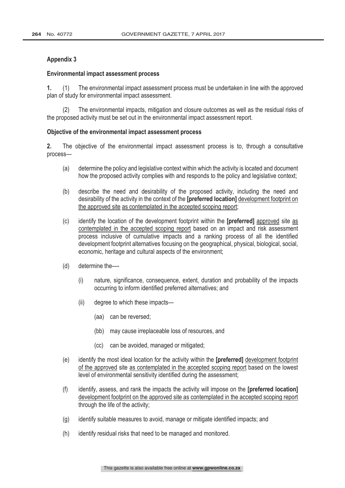## **Appendix 3**

#### **Environmental impact assessment process**

 (1) The environmental impact assessment process must be undertaken in line with the approved plan of study for environmental impact assessment.

(2) The environmental impacts, mitigation and closure outcomes as well as the residual risks of the proposed activity must be set out in the environmental impact assessment report.

#### Objective of the environmental impact assessment process

2. The objective of the environmental impact assessment process is to, through a consultative process—

- (a) determine the policy and legislative context within which the activity is located and document how the proposed activity complies with and responds to the policy and legislative context;
- (b) describe the need and desirability of the proposed activity, including the need and desirability of the activity in the context of the [preferred location] development footprint on the approved site as contemplated in the accepted scoping report;
- $(c)$  identify the location of the development footprint within the **[preferred]** approved site as contemplated in the accepted scoping report based on an impact and risk assessment process inclusive of cumulative impacts and a ranking process of all the identified development footprint alternatives focusing on the geographical, physical, biological, social, economic, heritage and cultural aspects of the environment;
- (d) determine the—
	- (i) nature, significance, consequence, extent, duration and probability of the impacts occurring to inform identified preferred alternatives; and
	- (ii) degree to which these impacts—
		- (aa) can be reversed;
		- (bb) may cause irreplaceable loss of resources, and
		- (cc) can be avoided, managed or mitigated;
- $(e)$  identify the most ideal location for the activity within the **[preferred]** development footprint of the approved site as contemplated in the accepted scoping report based on the lowest level of environmental sensitivity identified during the assessment;
- (f) identify, assess, and rank the impacts the activity will impose on the **[preferred location]** development footprint on the approved site as contemplated in the accepted scoping report through the life of the activity;
- (g) identify suitable measures to avoid, manage or mitigate identified impacts; and
- (h) identify residual risks that need to be managed and monitored.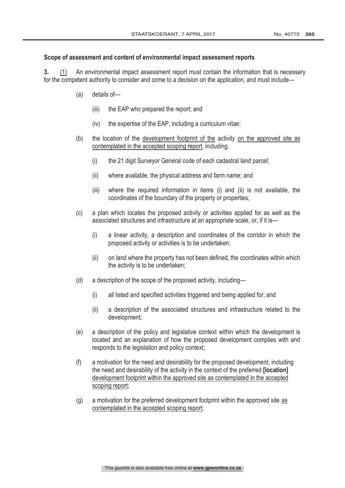# Scope of assessment and content of environmental impact assessment reports

 (1) An environmental impact assessment report must contain the information that is necessary for the competent authority to consider and come to a decision on the application, and must include—

- (a) details of—
	- (iii) the EAP who prepared the report; and
	- (iv) the expertise of the EAP, including a curriculum vitae;
- (b) the location of the development footprint of the activity on the approved site as contemplated in the accepted scoping report, including:
	- (i) the 21 digit Surveyor General code of each cadastral land parcel;
	- (ii) where available, the physical address and farm name; and
	- (iii) where the required information in items (i) and (ii) is not available, the coordinates of the boundary of the property or properties;
- (c) a plan which locates the proposed activity or activities applied for as well as the associated structures and infrastructure at an appropriate scale, or, if it is—
	- (i) a linear activity, a description and coordinates of the corridor in which the proposed activity or activities is to be undertaken;
	- (ii) on land where the property has not been defined, the coordinates within which the activity is to be undertaken;
- (d) a description of the scope of the proposed activity, including—
	- (i) all listed and specified activities triggered and being applied for; and
	- (ii) a description of the associated structures and infrastructure related to the development;
- (e) a description of the policy and legislative context within which the development is located and an explanation of how the proposed development complies with and responds to the legislation and policy context;
- (f) a motivation for the need and desirability for the proposed development, including the need and desirability of the activity in the context of the preferred [location] development footprint within the approved site as contemplated in the accepted scoping report;
- (g) a motivation for the preferred development footprint within the approved site as contemplated in the accepted scoping report;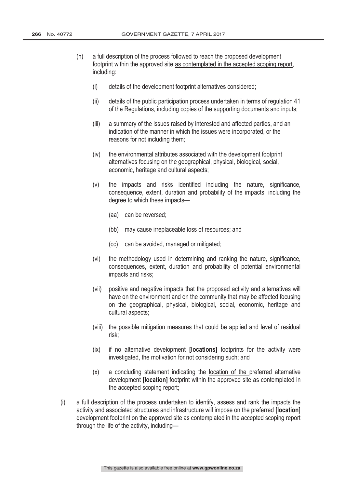- (h) a full description of the process followed to reach the proposed development footprint within the approved site as contemplated in the accepted scoping report, including:
	- (i) details of the development footprint alternatives considered;
	- (ii) details of the public participation process undertaken in terms of regulation 41 of the Regulations, including copies of the supporting documents and inputs;
	- (iii) a summary of the issues raised by interested and affected parties, and an indication of the manner in which the issues were incorporated, or the reasons for not including them;
	- (iv) the environmental attributes associated with the development footprint alternatives focusing on the geographical, physical, biological, social, economic, heritage and cultural aspects;
	- (v) the impacts and risks identified including the nature, significance, consequence, extent, duration and probability of the impacts, including the degree to which these impacts—
		- (aa) can be reversed;
		- (bb) may cause irreplaceable loss of resources; and
		- (cc) can be avoided, managed or mitigated;
	- (vi) the methodology used in determining and ranking the nature, significance, consequences, extent, duration and probability of potential environmental impacts and risks;
	- (vii) positive and negative impacts that the proposed activity and alternatives will have on the environment and on the community that may be affected focusing on the geographical, physical, biological, social, economic, heritage and cultural aspects;
	- (viii) the possible mitigation measures that could be applied and level of residual risk;
	- $(ix)$  if no alternative development **[locations]** footprints for the activity were investigated, the motivation for not considering such; and
	- (x) a concluding statement indicating the location of the preferred alternative development **[location]** footprint within the approved site as contemplated in the accepted scoping report;
- (i) a full description of the process undertaken to identify, assess and rank the impacts the activity and associated structures and infrastructure will impose on the preferred [location] development footprint on the approved site as contemplated in the accepted scoping report through the life of the activity, including—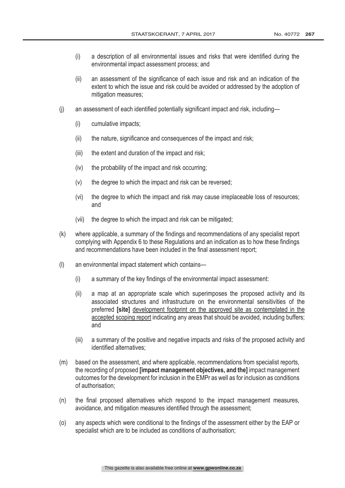- (i) a description of all environmental issues and risks that were identified during the environmental impact assessment process; and
- (ii) an assessment of the significance of each issue and risk and an indication of the extent to which the issue and risk could be avoided or addressed by the adoption of mitigation measures;
- (j) an assessment of each identified potentially significant impact and risk, including—
	- (i) cumulative impacts;
	- (ii) the nature, significance and consequences of the impact and risk;
	- (iii) the extent and duration of the impact and risk;
	- (iv) the probability of the impact and risk occurring;
	- (v) the degree to which the impact and risk can be reversed;
	- (vi) the degree to which the impact and risk may cause irreplaceable loss of resources; and
	- (vii) the degree to which the impact and risk can be mitigated;
- (k) where applicable, a summary of the findings and recommendations of any specialist report complying with Appendix 6 to these Regulations and an indication as to how these findings and recommendations have been included in the final assessment report;
- (l) an environmental impact statement which contains—
	- (i) a summary of the key findings of the environmental impact assessment:
	- (ii) a map at an appropriate scale which superimposes the proposed activity and its associated structures and infrastructure on the environmental sensitivities of the preferred **[site]** development footprint on the approved site as contemplated in the accepted scoping report indicating any areas that should be avoided, including buffers; and
	- (iii) a summary of the positive and negative impacts and risks of the proposed activity and identified alternatives;
- (m) based on the assessment, and where applicable, recommendations from specialist reports, the recording of proposed [impact management objectives, and the] impact management outcomes for the development for inclusion in the EMPr as well as for inclusion as conditions of authorisation;
- (n) the final proposed alternatives which respond to the impact management measures, avoidance, and mitigation measures identified through the assessment;
- (o) any aspects which were conditional to the findings of the assessment either by the EAP or specialist which are to be included as conditions of authorisation;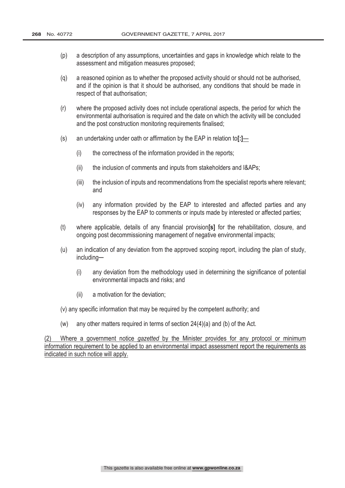- (p) a description of any assumptions, uncertainties and gaps in knowledge which relate to the assessment and mitigation measures proposed;
- (q) a reasoned opinion as to whether the proposed activity should or should not be authorised, and if the opinion is that it should be authorised, any conditions that should be made in respect of that authorisation;
- (r) where the proposed activity does not include operational aspects, the period for which the environmental authorisation is required and the date on which the activity will be concluded and the post construction monitoring requirements finalised;
- (s) an undertaking under oath or affirmation by the EAP in relation to[: $\underline{I}$ 
	- (i) the correctness of the information provided in the reports;
	- (ii) the inclusion of comments and inputs from stakeholders and I&APs;
	- (iii) the inclusion of inputs and recommendations from the specialist reports where relevant; and
	- (iv) any information provided by the EAP to interested and affected parties and any responses by the EAP to comments or inputs made by interested or affected parties;
- (t) where applicable, details of any financial provision  $[s]$  for the rehabilitation, closure, and ongoing post decommissioning management of negative environmental impacts;
- (u) an indication of any deviation from the approved scoping report, including the plan of study, including─
	- (i) any deviation from the methodology used in determining the significance of potential environmental impacts and risks; and
	- (ii) a motivation for the deviation;
- (v) any specific information that may be required by the competent authority; and
- (w) any other matters required in terms of section  $24(4)(a)$  and (b) of the Act.

 $(2)$  Where a government notice gazetted by the Minister provides for any protocol or minimum information requirement to be applied to an environmental impact assessment report the requirements as indicated in such notice will apply.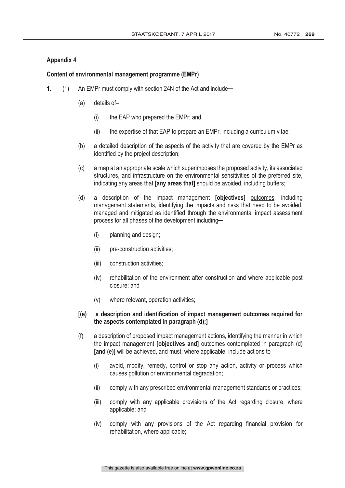# **Appendix 4**

#### Content of environmental management programme (EMPr)

- 1. (1) An EMPr must comply with section 24N of the Act and include—
	- (a) details of–
		- (i) the EAP who prepared the EMPr; and
		- (ii) the expertise of that EAP to prepare an EMPr, including a curriculum vitae;
	- (b) a detailed description of the aspects of the activity that are covered by the EMPr as identified by the project description;
	- (c) a map at an appropriate scale which superimposes the proposed activity, its associated structures, and infrastructure on the environmental sensitivities of the preferred site, indicating any areas that **[any areas that]** should be avoided, including buffers;
	- (d) a description of the impact management **[objectives]** outcomes, including management statements, identifying the impacts and risks that need to be avoided, managed and mitigated as identified through the environmental impact assessment process for all phases of the development including-
		- (i) planning and design;
		- (ii) pre-construction activities;
		- (iii) construction activities;
		- (iv) rehabilitation of the environment after construction and where applicable post closure; and
		- (v) where relevant, operation activities;

# $\overline{f}(e)$  a description and identification of impact management outcomes required for the aspects contemplated in paragraph (d);]

- (f) a description of proposed impact management actions, identifying the manner in which the impact management **[objectives and]** outcomes contemplated in paragraph (d) [and (e)] will be achieved, and must, where applicable, include actions to  $-$ 
	- (i) avoid, modify, remedy, control or stop any action, activity or process which causes pollution or environmental degradation;
	- (ii) comply with any prescribed environmental management standards or practices;
	- (iii) comply with any applicable provisions of the Act regarding closure, where applicable; and
	- (iv) comply with any provisions of the Act regarding financial provision for rehabilitation, where applicable;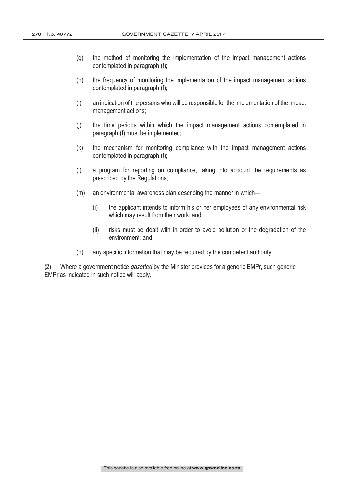- (g) the method of monitoring the implementation of the impact management actions contemplated in paragraph (f);
- (h) the frequency of monitoring the implementation of the impact management actions contemplated in paragraph (f);
- (i) an indication of the persons who will be responsible for the implementation of the impact management actions;
- (j) the time periods within which the impact management actions contemplated in paragraph (f) must be implemented;
- (k) the mechanism for monitoring compliance with the impact management actions contemplated in paragraph (f);
- (l) a program for reporting on compliance, taking into account the requirements as prescribed by the Regulations;
- (m) an environmental awareness plan describing the manner in which—
	- (i) the applicant intends to inform his or her employees of any environmental risk which may result from their work; and
	- (ii) risks must be dealt with in order to avoid pollution or the degradation of the environment; and
- (n) any specific information that may be required by the competent authority.

(2) Where a government notice gazetted by the Minister provides for a generic EMPr, such generic EMPr as indicated in such notice will apply.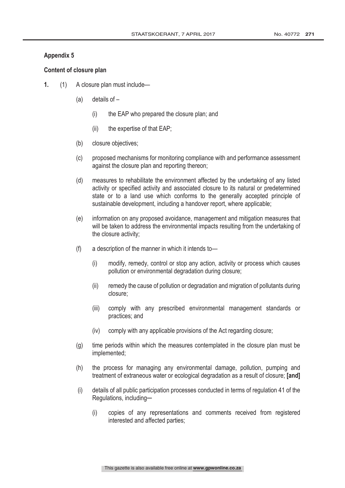# **Appendix 5**

# Content of closure plan

- 1. (1) A closure plan must include—
	- (a) details of
		- (i) the EAP who prepared the closure plan; and
		- $(ii)$  the expertise of that EAP;
	- (b) closure objectives;
	- (c) proposed mechanisms for monitoring compliance with and performance assessment against the closure plan and reporting thereon;
	- (d) measures to rehabilitate the environment affected by the undertaking of any listed activity or specified activity and associated closure to its natural or predetermined state or to a land use which conforms to the generally accepted principle of sustainable development, including a handover report, where applicable;
	- (e) information on any proposed avoidance, management and mitigation measures that will be taken to address the environmental impacts resulting from the undertaking of the closure activity;
	- (f) a description of the manner in which it intends to—
		- (i) modify, remedy, control or stop any action, activity or process which causes pollution or environmental degradation during closure;
		- (ii) remedy the cause of pollution or degradation and migration of pollutants during closure;
		- (iii) comply with any prescribed environmental management standards or practices; and
		- (iv) comply with any applicable provisions of the Act regarding closure;
	- (g) time periods within which the measures contemplated in the closure plan must be implemented;
	- (h) the process for managing any environmental damage, pollution, pumping and treatment of extraneous water or ecological degradation as a result of closure; [and]
	- (i) details of all public participation processes conducted in terms of regulation 41 of the Regulations, including-
		- (i) copies of any representations and comments received from registered interested and affected parties;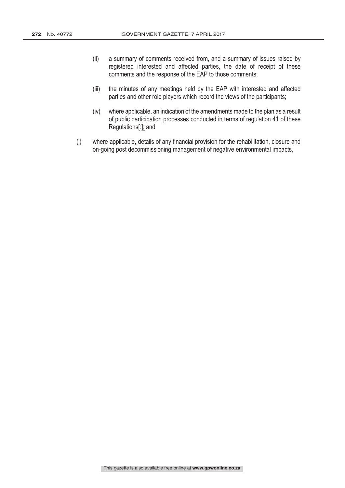- (ii) a summary of comments received from, and a summary of issues raised by registered interested and affected parties, the date of receipt of these comments and the response of the EAP to those comments;
- (iii) the minutes of any meetings held by the EAP with interested and affected parties and other role players which record the views of the participants;
- (iv) where applicable, an indication of the amendments made to the plan as a result of public participation processes conducted in terms of regulation 41 of these Regulations[:]; and
- (j) where applicable, details of any financial provision for the rehabilitation, closure and on-going post decommissioning management of negative environmental impacts.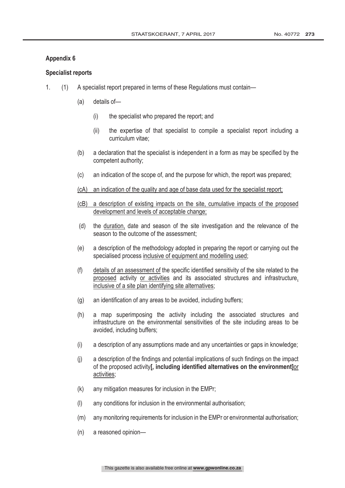# **Appendix 6**

# **Specialist reports**

- 1. (1) A specialist report prepared in terms of these Regulations must contain—
	- (a) details of—
		- (i) the specialist who prepared the report; and
		- (ii) the expertise of that specialist to compile a specialist report including a curriculum vitae;
	- (b) a declaration that the specialist is independent in a form as may be specified by the competent authority;
	- (c) an indication of the scope of, and the purpose for which, the report was prepared;
	- (cA) an indication of the quality and age of base data used for the specialist report;
	- (cB) a description of existing impacts on the site, cumulative impacts of the proposed development and levels of acceptable change;
	- (d) the duration, date and season of the site investigation and the relevance of the season to the outcome of the assessment;
	- (e) a description of the methodology adopted in preparing the report or carrying out the specialised process inclusive of equipment and modelling used;
	- (f) details of an assessment of the specific identified sensitivity of the site related to the proposed activity or activities and its associated structures and infrastructure, inclusive of a site plan identifying site alternatives;
	- (g) an identification of any areas to be avoided, including buffers;
	- (h) a map superimposing the activity including the associated structures and infrastructure on the environmental sensitivities of the site including areas to be avoided, including buffers;
	- (i) a description of any assumptions made and any uncertainties or gaps in knowledge;
	- (j) a description of the findings and potential implications of such findings on the impact of the proposed activityl, including identified alternatives on the environment lor activities;
	- (k) any mitigation measures for inclusion in the EMPr;
	- (l) any conditions for inclusion in the environmental authorisation;
	- (m) any monitoring requirements for inclusion in the EMPr or environmental authorisation;
	- (n) a reasoned opinion—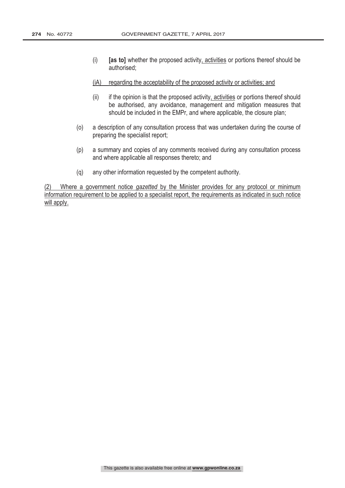- (i) **[as to]** whether the proposed activity, activities or portions thereof should be authorised;
- (iA) regarding the acceptability of the proposed activity or activities; and
- (ii) if the opinion is that the proposed activity, activities or portions thereof should be authorised, any avoidance, management and mitigation measures that should be included in the EMPr, and where applicable, the closure plan;
- (o) a description of any consultation process that was undertaken during the course of preparing the specialist report;
- (p) a summary and copies of any comments received during any consultation process and where applicable all responses thereto; and
- (q) any other information requested by the competent authority.

 $(2)$  Where a government notice *gazetted* by the Minister provides for any protocol or minimum information requirement to be applied to a specialist report, the requirements as indicated in such notice will apply.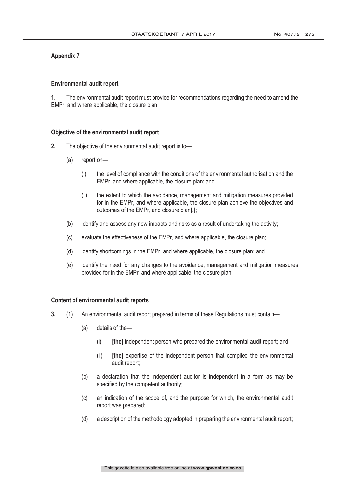# **Appendix 7**

#### **Environmental audit report**

 The environmental audit report must provide for recommendations regarding the need to amend the EMPr, and where applicable, the closure plan.

#### Objective of the environmental audit report

- 2. The objective of the environmental audit report is to-
	- (a) report on—
		- (i) the level of compliance with the conditions of the environmental authorisation and the EMPr, and where applicable, the closure plan; and
		- (ii) the extent to which the avoidance, management and mitigation measures provided for in the EMPr, and where applicable, the closure plan achieve the objectives and outcomes of the EMPr, and closure plan[.];
	- (b) identify and assess any new impacts and risks as a result of undertaking the activity;
	- (c) evaluate the effectiveness of the EMPr, and where applicable, the closure plan;
	- (d) identify shortcomings in the EMPr, and where applicable, the closure plan; and
	- (e) identify the need for any changes to the avoidance, management and mitigation measures provided for in the EMPr, and where applicable, the closure plan.

#### Content of environmental audit reports

- (1) An environmental audit report prepared in terms of these Regulations must contain—
	- (a) details of the—
		- $(i)$  Ithel independent person who prepared the environmental audit report; and
		- (ii) **[the]** expertise of the independent person that compiled the environmental audit report;
	- (b) a declaration that the independent auditor is independent in a form as may be specified by the competent authority;
	- (c) an indication of the scope of, and the purpose for which, the environmental audit report was prepared;
	- (d) a description of the methodology adopted in preparing the environmental audit report;